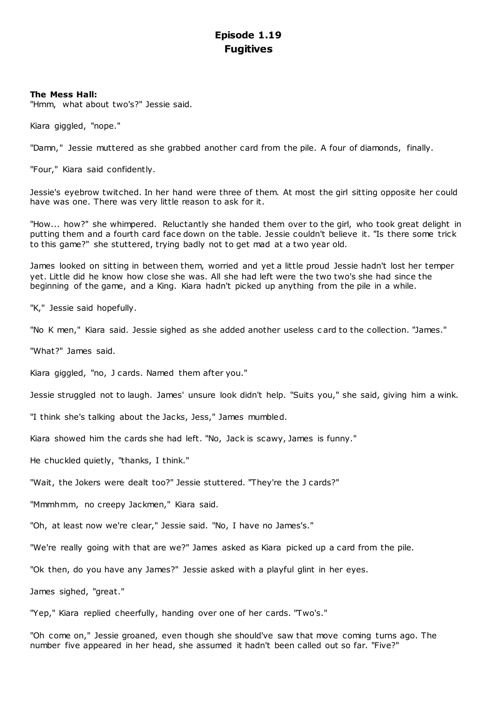# **Episode 1.19 Fugitives**

# **The Mess Hall:**

"Hmm, what about two's?" Jessie said.

Kiara giggled, "nope."

"Damn," Jessie muttered as she grabbed another card from the pile. A four of diamonds, finally.

"Four," Kiara said confidently.

Jessie's eyebrow twitched. In her hand were three of them. At most the girl sitting opposite her could have was one. There was very little reason to ask for it.

"How... how?" she whimpered. Reluctantly she handed them over to the girl, who took great delight in putting them and a fourth card face down on the table. Jessie couldn't believe it. "Is there some trick to this game?" she stuttered, trying badly not to get mad at a two year old.

James looked on sitting in between them, worried and yet a little proud Jessie hadn't lost her temper yet. Little did he know how close she was. All she had left were the two two's she had since the beginning of the game, and a King. Kiara hadn't picked up anything from the pile in a while.

"K," Jessie said hopefully.

"No K men," Kiara said. Jessie sighed as she added another useless c ard to the collection. "James."

"What?" James said.

Kiara giggled, "no, J cards. Named them after you."

Jessie struggled not to laugh. James' unsure look didn't help. "Suits you," she said, giving him a wink.

"I think she's talking about the Jacks, Jess," James mumbled.

Kiara showed him the cards she had left. "No, Jack is scawy, James is funny."

He chuckled quietly, "thanks, I think."

"Wait, the Jokers were dealt too?" Jessie stuttered. "They're the J cards?"

"Mmmhmm, no creepy Jackmen," Kiara said.

"Oh, at least now we're clear," Jessie said. "No, I have no James's."

"We're really going with that are we?" James asked as Kiara picked up a card from the pile.

"Ok then, do you have any James?" Jessie asked with a playful glint in her eyes.

James sighed, "great."

"Yep," Kiara replied cheerfully, handing over one of her cards. "Two's."

"Oh come on," Jessie groaned, even though she should've saw that move coming turns ago. The number five appeared in her head, she assumed it hadn't been called out so far. "Five?"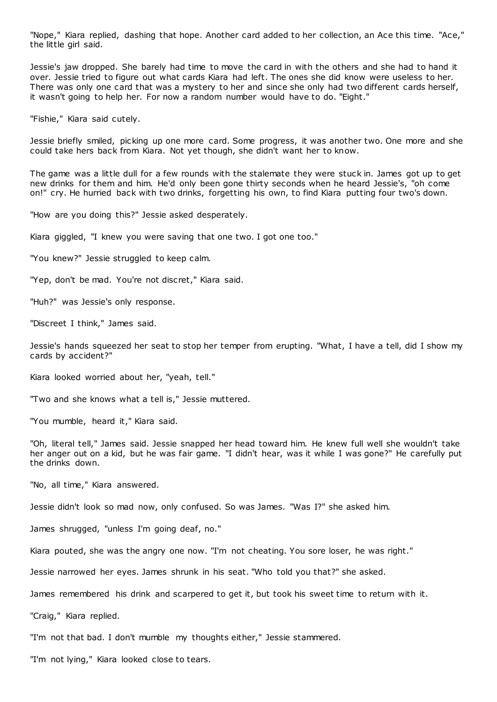"Nope," Kiara replied, dashing that hope. Another card added to her collection, an Ace this time. "Ace," the little girl said.

Jessie's jaw dropped. She barely had time to move the card in with the others and she had to hand it over. Jessie tried to figure out what cards Kiara had left. The ones she did know were useless to her. There was only one card that was a mystery to her and since she only had two different cards herself, it wasn't going to help her. For now a random number would have to do. "Eight."

"Fishie," Kiara said cutely.

Jessie briefly smiled, picking up one more card. Some progress, it was another two. One more and she could take hers back from Kiara. Not yet though, she didn't want her to know.

The game was a little dull for a few rounds with the stalemate they were stuck in. James got up to get new drinks for them and him. He'd only been gone thirty seconds when he heard Jessie's, "oh come on!" cry. He hurried back with two drinks, forgetting his own, to find Kiara putting four two's down.

"How are you doing this?" Jessie asked desperately.

Kiara giggled, "I knew you were saving that one two. I got one too."

"You knew?" Jessie struggled to keep calm.

"Yep, don't be mad. You're not discret," Kiara said.

"Huh?" was Jessie's only response.

"Discreet I think," James said.

Jessie's hands squeezed her seat to stop her temper from erupting. "What, I have a tell, did I show my cards by accident?"

Kiara looked worried about her, "yeah, tell."

"Two and she knows what a tell is," Jessie muttered.

"You mumble, heard it," Kiara said.

"Oh, literal tell," James said. Jessie snapped her head toward him. He knew full well she wouldn't take her anger out on a kid, but he was fair game. "I didn't hear, was it while I was gone?" He carefully put the drinks down.

"No, all time," Kiara answered.

Jessie didn't look so mad now, only confused. So was James. "Was I?" she asked him.

James shrugged, "unless I'm going deaf, no."

Kiara pouted, she was the angry one now. "I'm not cheating. You sore loser, he was right."

Jessie narrowed her eyes. James shrunk in his seat. "Who told you that?" she asked.

James remembered his drink and scarpered to get it, but took his sweet time to return with it.

"Craig," Kiara replied.

"I'm not that bad. I don't mumble my thoughts either," Jessie stammered.

"I'm not lying," Kiara looked close to tears.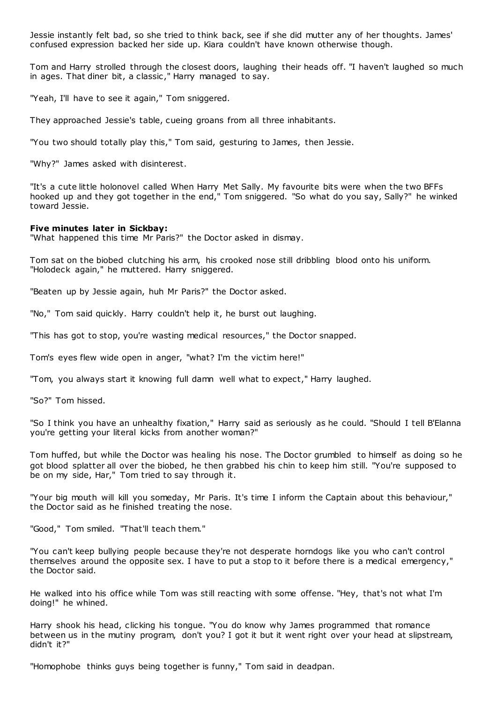Jessie instantly felt bad, so she tried to think back, see if she did mutter any of her thoughts. James' confused expression backed her side up. Kiara couldn't have known otherwise though.

Tom and Harry strolled through the closest doors, laughing their heads off. "I haven't laughed so much in ages. That diner bit, a classic," Harry managed to say.

"Yeah, I'll have to see it again," Tom sniggered.

They approached Jessie's table, cueing groans from all three inhabitants.

"You two should totally play this," Tom said, gesturing to James, then Jessie.

"Why?" James asked with disinterest.

"It's a cute little holonovel called When Harry Met Sally. My favourite bits were when the two BFFs hooked up and they got together in the end," Tom sniggered. "So what do you say, Sally?" he winked toward Jessie.

# **Five minutes later in Sickbay:**

"What happened this time Mr Paris?" the Doctor asked in dismay.

Tom sat on the biobed clutching his arm, his crooked nose still dribbling blood onto his uniform. "Holodeck again," he muttered. Harry sniggered.

"Beaten up by Jessie again, huh Mr Paris?" the Doctor asked.

"No," Tom said quickly. Harry couldn't help it, he burst out laughing.

"This has got to stop, you're wasting medical resources," the Doctor snapped.

Tom's eyes flew wide open in anger, "what? I'm the victim here!"

"Tom, you always start it knowing full damn well what to expect," Harry laughed.

"So?" Tom hissed.

"So I think you have an unhealthy fixation," Harry said as seriously as he could. "Should I tell B'Elanna you're getting your literal kicks from another woman?"

Tom huffed, but while the Doctor was healing his nose. The Doctor grumbled to himself as doing so he got blood splatter all over the biobed, he then grabbed his chin to keep him still. "You're supposed to be on my side, Har," Tom tried to say through it.

"Your big mouth will kill you someday, Mr Paris. It's time I inform the Captain about this behaviour," the Doctor said as he finished treating the nose.

"Good," Tom smiled. "That'll teach them."

"You can't keep bullying people because they're not desperate horndogs like you who can't control themselves around the opposite sex. I have to put a stop to it before there is a medical emergency," the Doctor said.

He walked into his office while Tom was still reacting with some offense. "Hey, that's not what I'm doing!" he whined.

Harry shook his head, clicking his tongue. "You do know why James programmed that romance between us in the mutiny program, don't you? I got it but it went right over your head at slipstream, didn't it?"

"Homophobe thinks guys being together is funny," Tom said in deadpan.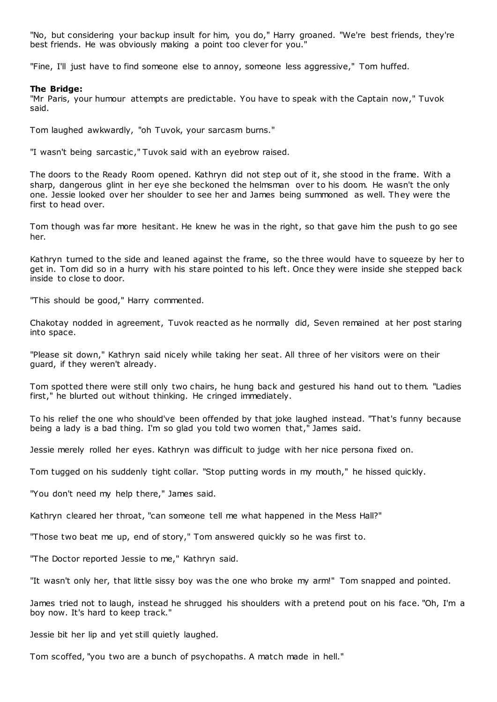"No, but considering your backup insult for him, you do," Harry groaned. "We're best friends, they're best friends. He was obviously making a point too clever for you."

"Fine, I'll just have to find someone else to annoy, someone less aggressive," Tom huffed.

### **The Bridge:**

"Mr Paris, your humour attempts are predictable. You have to speak with the Captain now," Tuvok said.

Tom laughed awkwardly, "oh Tuvok, your sarcasm burns."

"I wasn't being sarcastic ," Tuvok said with an eyebrow raised.

The doors to the Ready Room opened. Kathryn did not step out of it, she stood in the frame. With a sharp, dangerous glint in her eye she beckoned the helmsman over to his doom. He wasn't the only one. Jessie looked over her shoulder to see her and James being summoned as well. They were the first to head over.

Tom though was far more hesitant. He knew he was in the right, so that gave him the push to go see her.

Kathryn turned to the side and leaned against the frame, so the three would have to squeeze by her to get in. Tom did so in a hurry with his stare pointed to his left. Once they were inside she stepped back inside to close to door.

"This should be good," Harry commented.

Chakotay nodded in agreement, Tuvok reacted as he normally did, Seven remained at her post staring into space.

"Please sit down," Kathryn said nicely while taking her seat. All three of her visitors were on their guard, if they weren't already.

Tom spotted there were still only two chairs, he hung back and gestured his hand out to them. "Ladies first," he blurted out without thinking. He cringed immediately.

To his relief the one who should've been offended by that joke laughed instead. "That's funny because being a lady is a bad thing. I'm so glad you told two women that," James said.

Jessie merely rolled her eyes. Kathryn was difficult to judge with her nice persona fixed on.

Tom tugged on his suddenly tight collar. "Stop putting words in my mouth," he hissed quickly.

"You don't need my help there," James said.

Kathryn cleared her throat, "can someone tell me what happened in the Mess Hall?"

"Those two beat me up, end of story," Tom answered quickly so he was first to.

"The Doctor reported Jessie to me," Kathryn said.

"It wasn't only her, that little sissy boy was the one who broke my arm!" Tom snapped and pointed.

James tried not to laugh, instead he shrugged his shoulders with a pretend pout on his face. "Oh, I'm a boy now. It's hard to keep track."

Jessie bit her lip and yet still quietly laughed.

Tom scoffed, "you two are a bunch of psychopaths. A match made in hell."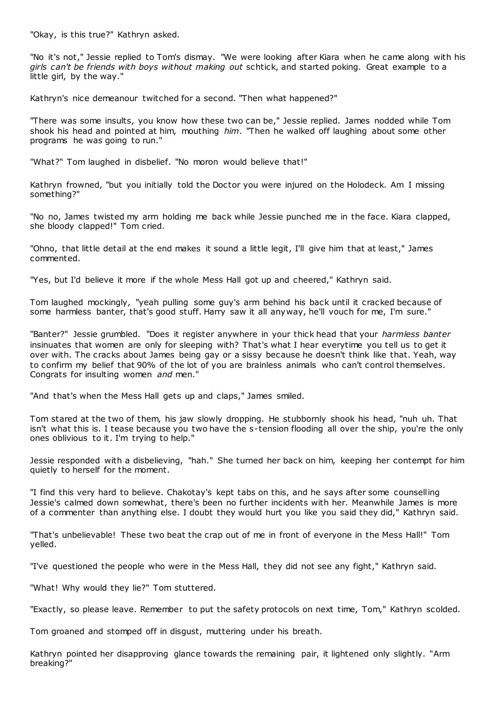"Okay, is this true?" Kathryn asked.

"No it's not," Jessie replied to Tom's dismay. "We were looking after Kiara when he came along with his *girls can't be friends with boys without making out* schtick, and started poking. Great example to a little girl, by the way."

Kathryn's nice demeanour twitched for a second. "Then what happened?"

"There was some insults, you know how these two can be," Jessie replied. James nodded while Tom shook his head and pointed at him, mouthing *him*. "Then he walked off laughing about some other programs he was going to run."

"What?" Tom laughed in disbelief. "No moron would believe that!"

Kathryn frowned, "but you initially told the Doctor you were injured on the Holodeck. Am I missing something?"

"No no, James twisted my arm holding me back while Jessie punched me in the face. Kiara clapped, she bloody clapped!" Tom cried.

"Ohno, that little detail at the end makes it sound a little legit, I'll give him that at least," James commented.

"Yes, but I'd believe it more if the whole Mess Hall got up and cheered," Kathryn said.

Tom laughed mockingly, "yeah pulling some guy's arm behind his back until it cracked because of some harmless banter, that's good stuff. Harry saw it all anyway, he'll vouch for me, I'm sure."

"Banter?" Jessie grumbled. "Does it register anywhere in your thick head that your *harmless banter* insinuates that women are only for sleeping with? That's what I hear everytime you tell us to get it over with. The cracks about James being gay or a sissy because he doesn't think like that. Yeah, way to confirm my belief that 90% of the lot of you are brainless animals who can't control themselves. Congrats for insulting women *and* men."

"And that's when the Mess Hall gets up and claps," James smiled.

Tom stared at the two of them, his jaw slowly dropping. He stubbornly shook his head, "nuh uh. That isn't what this is. I tease because you two have the s-tension flooding all over the ship, you're the only ones oblivious to it. I'm trying to help."

Jessie responded with a disbelieving, "hah." She turned her back on him, keeping her contempt for him quietly to herself for the moment.

"I find this very hard to believe. Chakotay's kept tabs on this, and he says after some counselling Jessie's calmed down somewhat, there's been no further incidents with her. Meanwhile James is more of a commenter than anything else. I doubt they would hurt you like you said they did," Kathryn said.

"That's unbelievable! These two beat the crap out of me in front of everyone in the Mess Hall!" Tom yelled.

"I've questioned the people who were in the Mess Hall, they did not see any fight," Kathryn said.

"What! Why would they lie?" Tom stuttered.

"Exactly, so please leave. Remember to put the safety protocols on next time, Tom," Kathryn scolded.

Tom groaned and stomped off in disgust, muttering under his breath.

Kathryn pointed her disapproving glance towards the remaining pair, it lightened only slightly. "Arm breaking?"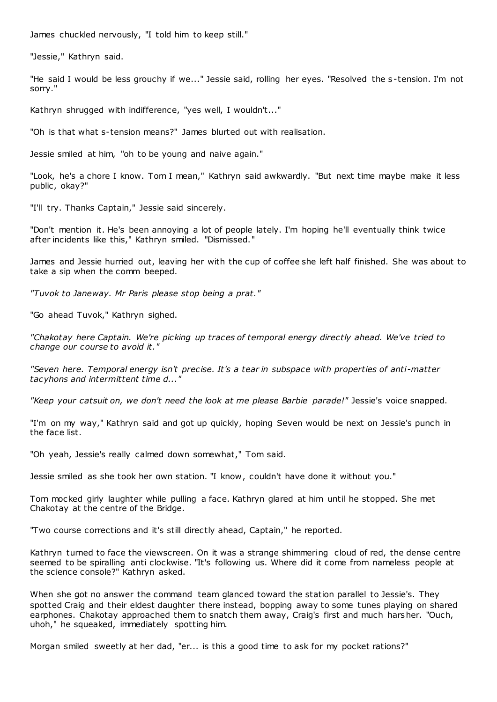James chuckled nervously, "I told him to keep still."

"Jessie," Kathryn said.

"He said I would be less grouchy if we..." Jessie said, rolling her eyes. "Resolved the s -tension. I'm not sorry."

Kathryn shrugged with indifference, "yes well, I wouldn't..."

"Oh is that what s-tension means?" James blurted out with realisation.

Jessie smiled at him, "oh to be young and naive again."

"Look, he's a chore I know. Tom I mean," Kathryn said awkwardly. "But next time maybe make it less public, okay?"

"I'll try. Thanks Captain," Jessie said sincerely.

"Don't mention it. He's been annoying a lot of people lately. I'm hoping he'll eventually think twice after incidents like this," Kathryn smiled. "Dismissed."

James and Jessie hurried out, leaving her with the cup of coffee she left half finished. She was about to take a sip when the comm beeped.

*"Tuvok to Janeway. Mr Paris please stop being a prat."*

"Go ahead Tuvok," Kathryn sighed.

*"Chakotay here Captain. We're picking up traces of temporal energy directly ahead. We've tried to change our course to avoid it."*

*"Seven here. Temporal energy isn't precise. It's a tear in subspace with properties of anti-matter tacyhons and intermittent time d..."*

*"Keep your catsuit on, we don't need the look at me please Barbie parade!"* Jessie's voice snapped.

"I'm on my way," Kathryn said and got up quickly, hoping Seven would be next on Jessie's punch in the face list.

"Oh yeah, Jessie's really calmed down somewhat," Tom said.

Jessie smiled as she took her own station. "I know, couldn't have done it without you."

Tom mocked girly laughter while pulling a face. Kathryn glared at him until he stopped. She met Chakotay at the centre of the Bridge.

"Two course corrections and it's still directly ahead, Captain," he reported.

Kathryn turned to face the viewscreen. On it was a strange shimmering cloud of red, the dense centre seemed to be spiralling anti clockwise. "It's following us. Where did it come from nameless people at the science console?" Kathryn asked.

When she got no answer the command team glanced toward the station parallel to Jessie's. They spotted Craig and their eldest daughter there instead, bopping away to some tunes playing on shared earphones. Chakotay approached them to snatch them away, Craig's first and much harsher. "Ouch, uhoh," he squeaked, immediately spotting him.

Morgan smiled sweetly at her dad, "er... is this a good time to ask for my pocket rations?"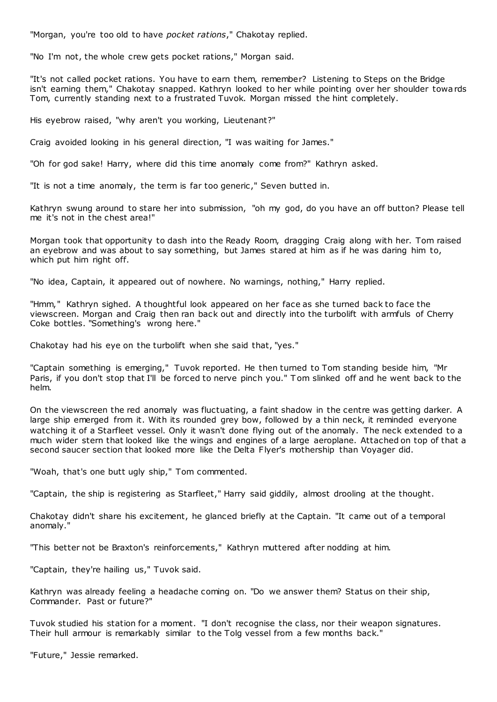"Morgan, you're too old to have *pocket rations*," Chakotay replied.

"No I'm not, the whole crew gets pocket rations," Morgan said.

"It's not called pocket rations. You have to earn them, remember? Listening to Steps on the Bridge isn't earning them," Chakotay snapped. Kathryn looked to her while pointing over her shoulder towards Tom, currently standing next to a frustrated Tuvok. Morgan missed the hint completely.

His eyebrow raised, "why aren't you working, Lieutenant?"

Craig avoided looking in his general direction, "I was waiting for James."

"Oh for god sake! Harry, where did this time anomaly come from?" Kathryn asked.

"It is not a time anomaly, the term is far too generic ," Seven butted in.

Kathryn swung around to stare her into submission, "oh my god, do you have an off button? Please tell me it's not in the chest area!"

Morgan took that opportunity to dash into the Ready Room, dragging Craig along with her. Tom raised an eyebrow and was about to say something, but James stared at him as if he was daring him to, which put him right off.

"No idea, Captain, it appeared out of nowhere. No warnings, nothing," Harry replied.

"Hmm," Kathryn sighed. A thoughtful look appeared on her face as she turned back to face the viewscreen. Morgan and Craig then ran back out and directly into the turbolift with armfuls of Cherry Coke bottles. "Something's wrong here."

Chakotay had his eye on the turbolift when she said that, "yes."

"Captain something is emerging," Tuvok reported. He then turned to Tom standing beside him, "Mr Paris, if you don't stop that I'll be forced to nerve pinch you." Tom slinked off and he went back to the helm.

On the viewscreen the red anomaly was fluctuating, a faint shadow in the centre was getting darker. A large ship emerged from it. With its rounded grey bow, followed by a thin neck, it reminded everyone watching it of a Starfleet vessel. Only it wasn't done flying out of the anomaly. The neck extended to a much wider stern that looked like the wings and engines of a large aeroplane. Attached on top of that a second saucer section that looked more like the Delta Flyer's mothership than Voyager did.

"Woah, that's one butt ugly ship," Tom commented.

"Captain, the ship is registering as Starfleet," Harry said giddily, almost drooling at the thought.

Chakotay didn't share his excitement, he glanced briefly at the Captain. "It came out of a temporal anomaly."

"This better not be Braxton's reinforcements," Kathryn muttered after nodding at him.

"Captain, they're hailing us," Tuvok said.

Kathryn was already feeling a headache coming on. "Do we answer them? Status on their ship, Commander. Past or future?"

Tuvok studied his station for a moment. "I don't recognise the class, nor their weapon signatures. Their hull armour is remarkably similar to the Tolg vessel from a few months back."

"Future," Jessie remarked.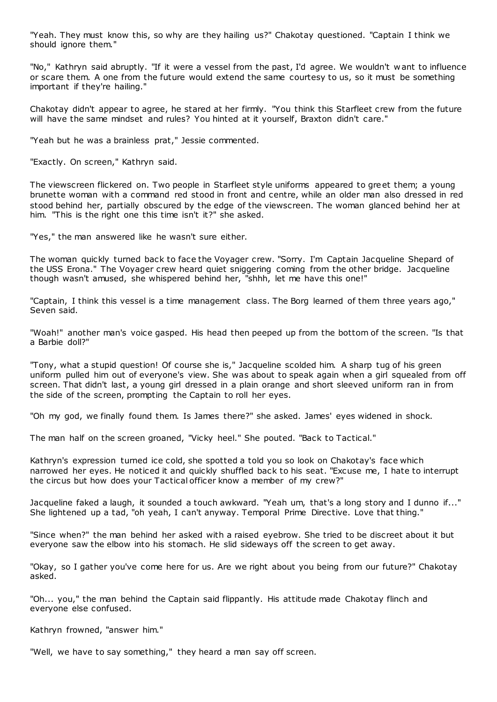"Yeah. They must know this, so why are they hailing us?" Chakotay questioned. "Captain I think we should ignore them."

"No," Kathryn said abruptly. "If it were a vessel from the past, I'd agree. We wouldn't w ant to influence or scare them. A one from the future would extend the same courtesy to us, so it must be something important if they're hailing."

Chakotay didn't appear to agree, he stared at her firmly. "You think this Starfleet crew from the future will have the same mindset and rules? You hinted at it yourself, Braxton didn't care."

"Yeah but he was a brainless prat," Jessie commented.

"Exactly. On screen," Kathryn said.

The viewscreen flickered on. Two people in Starfleet style uniforms appeared to greet them; a young brunette woman with a command red stood in front and centre, while an older man also dressed in red stood behind her, partially obscured by the edge of the viewscreen. The woman glanced behind her at him. "This is the right one this time isn't it?" she asked.

"Yes," the man answered like he wasn't sure either.

The woman quickly turned back to face the Voyager crew. "Sorry. I'm Captain Jacqueline Shepard of the USS Erona." The Voyager crew heard quiet sniggering coming from the other bridge. Jacqueline though wasn't amused, she whispered behind her, "shhh, let me have this one!"

"Captain, I think this vessel is a time management class. The Borg learned of them three years ago," Seven said.

"Woah!" another man's voice gasped. His head then peeped up from the bottom of the screen. "Is that a Barbie doll?"

"Tony, what a stupid question! Of course she is," Jacqueline scolded him. A sharp tug of his green uniform pulled him out of everyone's view. She was about to speak again when a girl squealed from off screen. That didn't last, a young girl dressed in a plain orange and short sleeved uniform ran in from the side of the screen, prompting the Captain to roll her eyes.

"Oh my god, we finally found them. Is James there?" she asked. James' eyes widened in shock.

The man half on the screen groaned, "Vicky heel." She pouted. "Back to Tactical."

Kathryn's expression turned ice cold, she spotted a told you so look on Chakotay's face which narrowed her eyes. He noticed it and quickly shuffled back to his seat. "Excuse me, I hate to interrupt the circus but how does your Tactical officer know a member of my crew?"

Jacqueline faked a laugh, it sounded a touch awkward. "Yeah um, that's a long story and I dunno if..." She lightened up a tad, "oh yeah, I can't anyway. Temporal Prime Directive. Love that thing."

"Since when?" the man behind her asked with a raised eyebrow. She tried to be discreet about it but everyone saw the elbow into his stomach. He slid sideways off the screen to get away.

"Okay, so I gather you've come here for us. Are we right about you being from our future?" Chakotay asked.

"Oh... you," the man behind the Captain said flippantly. His attitude made Chakotay flinch and everyone else confused.

Kathryn frowned, "answer him."

"Well, we have to say something," they heard a man say off screen.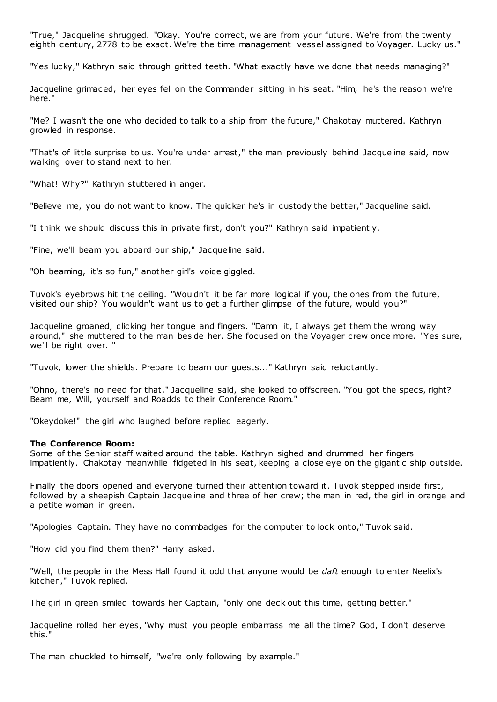"True," Jacqueline shrugged. "Okay. You're correct, we are from your future. We're from the twenty eighth century, 2778 to be exact. We're the time management vessel assigned to Voyager. Lucky us."

"Yes lucky," Kathryn said through gritted teeth. "What exactly have we done that needs managing?"

Jacqueline grimaced, her eyes fell on the Commander sitting in his seat. "Him, he's the reason we're here."

"Me? I wasn't the one who decided to talk to a ship from the future," Chakotay muttered. Kathryn growled in response.

"That's of little surprise to us. You're under arrest," the man previously behind Jacqueline said, now walking over to stand next to her.

"What! Why?" Kathryn stuttered in anger.

"Believe me, you do not want to know. The quicker he's in custody the better," Jacqueline said.

"I think we should discuss this in private first, don't you?" Kathryn said impatiently.

"Fine, we'll beam you aboard our ship," Jacqueline said.

"Oh beaming, it's so fun," another girl's voice giggled.

Tuvok's eyebrows hit the ceiling. "Wouldn't it be far more logical if you, the ones from the future, visited our ship? You wouldn't want us to get a further glimpse of the future, would you?"

Jacqueline groaned, clicking her tongue and fingers. "Damn it, I always get them the wrong way around," she muttered to the man beside her. She focused on the Voyager crew once more. "Yes sure, we'll be right over. "

"Tuvok, lower the shields. Prepare to beam our guests..." Kathryn said reluctantly.

"Ohno, there's no need for that," Jacqueline said, she looked to offscreen. "You got the specs, right? Beam me, Will, yourself and Roadds to their Conference Room."

"Okeydoke!" the girl who laughed before replied eagerly.

# **The Conference Room:**

Some of the Senior staff waited around the table. Kathryn sighed and drummed her fingers impatiently. Chakotay meanwhile fidgeted in his seat, keeping a close eye on the gigantic ship outside.

Finally the doors opened and everyone turned their attention toward it. Tuvok stepped inside first, followed by a sheepish Captain Jacqueline and three of her crew; the man in red, the girl in orange and a petite woman in green.

"Apologies Captain. They have no commbadges for the computer to lock onto," Tuvok said.

"How did you find them then?" Harry asked.

"Well, the people in the Mess Hall found it odd that anyone would be *daft* enough to enter Neelix's kitchen," Tuvok replied.

The girl in green smiled towards her Captain, "only one deck out this time, getting better."

Jacqueline rolled her eyes, "why must you people embarrass me all the time? God, I don't deserve this."

The man chuckled to himself, "we're only following by example."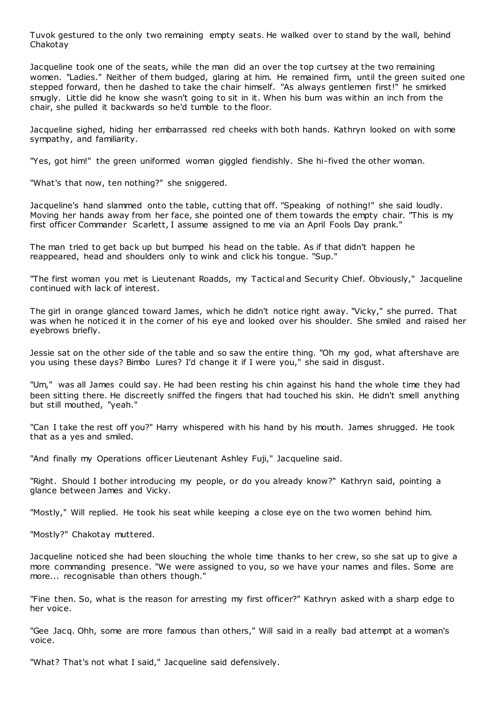Tuvok gestured to the only two remaining empty seats. He walked over to stand by the wall, behind Chakotay

Jacqueline took one of the seats, while the man did an over the top curtsey at the two remaining women. "Ladies." Neither of them budged, glaring at him. He remained firm, until the green suited one stepped forward, then he dashed to take the chair himself. "As always gentlemen first!" he smirked smugly. Little did he know she wasn't going to sit in it. When his bum was within an inch from the chair, she pulled it backwards so he'd tumble to the floor.

Jacqueline sighed, hiding her embarrassed red cheeks with both hands. Kathryn looked on with some sympathy, and familiarity.

"Yes, got him!" the green uniformed woman giggled fiendishly. She hi-fived the other woman.

"What's that now, ten nothing?" she sniggered.

Jacqueline's hand slammed onto the table, cutting that off. "Speaking of nothing!" she said loudly. Moving her hands away from her face, she pointed one of them towards the empty chair. "This is my first officer Commander Scarlett, I assume assigned to me via an April Fools Day prank."

The man tried to get back up but bumped his head on the table. As if that didn't happen he reappeared, head and shoulders only to wink and click his tongue. "Sup."

"The first woman you met is Lieutenant Roadds, my Tactical and Security Chief. Obviously," Jacqueline continued with lack of interest.

The girl in orange glanced toward James, which he didn't notice right away. "Vicky," she purred. That was when he noticed it in the corner of his eye and looked over his shoulder. She smiled and raised her eyebrows briefly.

Jessie sat on the other side of the table and so saw the entire thing. "Oh my god, what aftershave are you using these days? Bimbo Lures? I'd change it if I were you," she said in disgust.

"Um," was all James could say. He had been resting his chin against his hand the whole time they had been sitting there. He discreetly sniffed the fingers that had touched his skin. He didn't smell anything but still mouthed, "yeah."

"Can I take the rest off you?" Harry whispered with his hand by his mouth. James shrugged. He took that as a yes and smiled.

"And finally my Operations officer Lieutenant Ashley Fuji," Jacqueline said.

"Right. Should I bother introducing my people, or do you already know?" Kathryn said, pointing a glance between James and Vicky.

"Mostly," Will replied. He took his seat while keeping a close eye on the two women behind him.

"Mostly?" Chakotay muttered.

Jacqueline noticed she had been slouching the whole time thanks to her crew, so she sat up to give a more commanding presence. "We were assigned to you, so we have your names and files. Some are more... recognisable than others though."

"Fine then. So, what is the reason for arresting my first officer?" Kathryn asked with a sharp edge to her voice.

"Gee Jacq. Ohh, some are more famous than others," Will said in a really bad attempt at a woman's voice.

"What? That's not what I said," Jacqueline said defensively.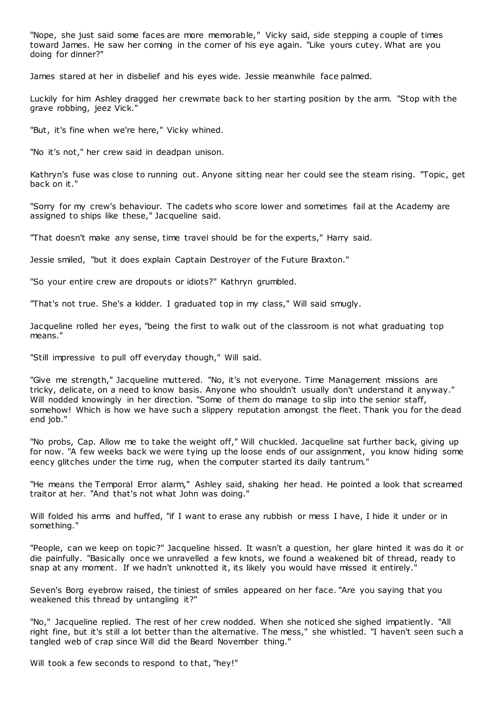"Nope, she just said some faces are more memorable," Vicky said, side stepping a couple of times toward James. He saw her coming in the corner of his eye again. "Like yours cutey. What are you doing for dinner?"

James stared at her in disbelief and his eyes wide. Jessie meanwhile face palmed.

Luckily for him Ashley dragged her crewmate back to her starting position by the arm. "Stop with the grave robbing, jeez Vick."

"But, it's fine when we're here," Vicky whined.

"No it's not," her crew said in deadpan unison.

Kathryn's fuse was close to running out. Anyone sitting near her could see the steam rising. "Topic , get back on it."

"Sorry for my crew's behaviour. The cadets who score lower and sometimes fail at the Academy are assigned to ships like these," Jacqueline said.

"That doesn't make any sense, time travel should be for the experts," Harry said.

Jessie smiled, "but it does explain Captain Destroyer of the Future Braxton."

"So your entire crew are dropouts or idiots?" Kathryn grumbled.

"That's not true. She's a kidder. I graduated top in my class," Will said smugly.

Jacqueline rolled her eyes, "being the first to walk out of the classroom is not what graduating top means."

"Still impressive to pull off everyday though," Will said.

"Give me strength," Jacqueline muttered. "No, it's not everyone. Time Management missions are tricky, delicate, on a need to know basis. Anyone who shouldn't usually don't understand it anyway." Will nodded knowingly in her direction. "Some of them do manage to slip into the senior staff, somehow! Which is how we have such a slippery reputation amongst the fleet. Thank you for the dead end job."

"No probs, Cap. Allow me to take the weight off," Will chuckled. Jacqueline sat further back, giving up for now. "A few weeks back we were tying up the loose ends of our assignment, you know hiding some eency glitches under the time rug, when the computer started its daily tantrum."

"He means the Temporal Error alarm," Ashley said, shaking her head. He pointed a look that screamed traitor at her. "And that's not what John was doing."

Will folded his arms and huffed, "if I want to erase any rubbish or mess I have, I hide it under or in something."

"People, can we keep on topic?" Jacqueline hissed. It wasn't a question, her glare hinted it was do it or die painfully. "Basically once we unravelled a few knots, we found a weakened bit of thread, ready to snap at any moment. If we hadn't unknotted it, its likely you would have missed it entirely."

Seven's Borg eyebrow raised, the tiniest of smiles appeared on her face. "Are you saying that you weakened this thread by untangling it?"

"No," Jacqueline replied. The rest of her crew nodded. When she noticed she sighed impatiently. "All right fine, but it's still a lot better than the alternative. The mess," she whistled. "I haven't seen such a tangled web of crap since Will did the Beard November thing."

Will took a few seconds to respond to that, "hey!"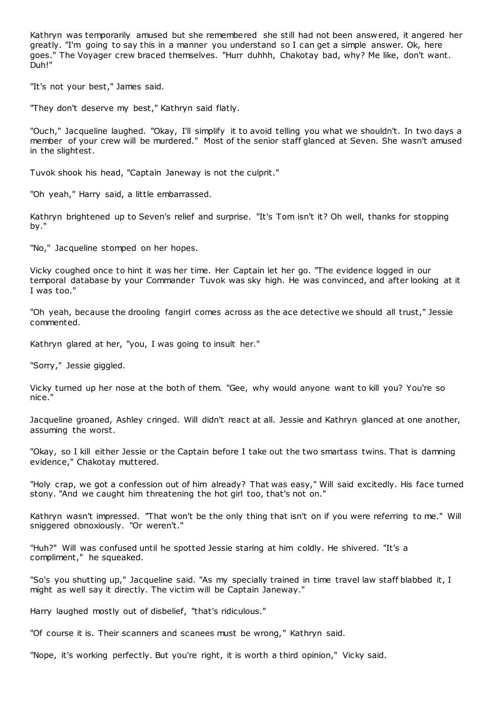Kathryn was temporarily amused but she remembered she still had not been answered, it angered her greatly. "I'm going to say this in a manner you understand so I can get a simple answer. Ok, here goes." The Voyager crew braced themselves. "Hurr duhhh, Chakotay bad, why? Me like, don't want. Duh!"

"It's not your best," James said.

"They don't deserve my best," Kathryn said flatly.

"Ouch," Jacqueline laughed. "Okay, I'll simplify it to avoid telling you what we shouldn't. In two days a member of your crew will be murdered." Most of the senior staff glanced at Seven. She wasn't amused in the slightest.

Tuvok shook his head, "Captain Janeway is not the culprit."

"Oh yeah," Harry said, a little embarrassed.

Kathryn brightened up to Seven's relief and surprise. "It's Tom isn't it? Oh well, thanks for stopping by."

"No," Jacqueline stomped on her hopes.

Vicky coughed once to hint it was her time. Her Captain let her go. "The evidence logged in our temporal database by your Commander Tuvok was sky high. He was convinced, and after looking at it I was too."

"Oh yeah, because the drooling fangirl comes across as the ace detective we should all trust," Jessie commented.

Kathryn glared at her, "you, I was going to insult her."

"Sorry," Jessie giggled.

Vicky turned up her nose at the both of them. "Gee, why would anyone want to kill you? You're so nice."

Jacqueline groaned, Ashley cringed. Will didn't react at all. Jessie and Kathryn glanced at one another, assuming the worst.

"Okay, so I kill either Jessie or the Captain before I take out the two smartass twins. That is damning evidence," Chakotay muttered.

"Holy crap, we got a confession out of him already? That was easy," Will said excitedly. His face turned stony. "And we caught him threatening the hot girl too, that's not on."

Kathryn wasn't impressed. "That won't be the only thing that isn't on if you were referring to me." Will sniggered obnoxiously. "Or weren't."

"Huh?" Will was confused until he spotted Jessie staring at him coldly. He shivered. "It's a compliment," he squeaked.

"So's you shutting up," Jacqueline said. "As my specially trained in time travel law staff blabbed it, I might as well say it directly. The victim will be Captain Janeway."

Harry laughed mostly out of disbelief, "that's ridiculous."

"Of course it is. Their scanners and scanees must be wrong," Kathryn said.

"Nope, it's working perfectly. But you're right, it is worth a third opinion," Vicky said.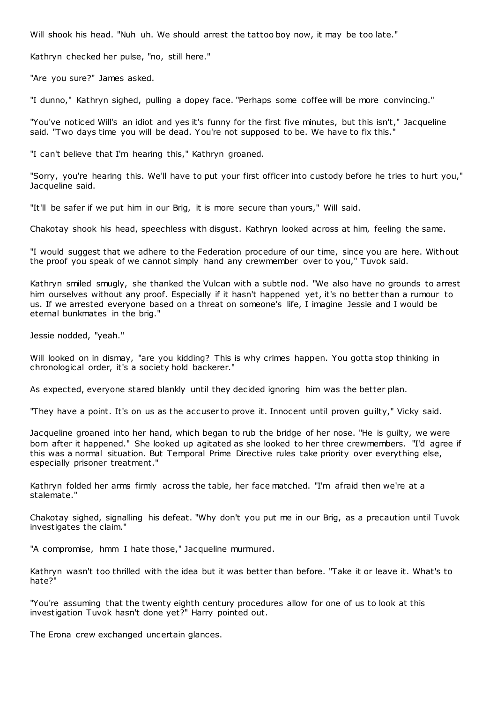Will shook his head. "Nuh uh. We should arrest the tattoo boy now, it may be too late."

Kathryn checked her pulse, "no, still here."

"Are you sure?" James asked.

"I dunno," Kathryn sighed, pulling a dopey face. "Perhaps some coffee will be more convincing."

"You've noticed Will's an idiot and yes it's funny for the first five minutes, but this isn't," Jacqueline said. "Two days time you will be dead. You're not supposed to be. We have to fix this."

"I can't believe that I'm hearing this," Kathryn groaned.

"Sorry, you're hearing this. We'll have to put your first officer into custody before he tries to hurt you," Jacqueline said.

"It'll be safer if we put him in our Brig, it is more secure than yours," Will said.

Chakotay shook his head, speechless with disgust. Kathryn looked across at him, feeling the same.

"I would suggest that we adhere to the Federation procedure of our time, since you are here. Without the proof you speak of we cannot simply hand any crewmember over to you," Tuvok said.

Kathryn smiled smugly, she thanked the Vulcan with a subtle nod. "We also have no grounds to arrest him ourselves without any proof. Especially if it hasn't happened yet, it's no better than a rumour to us. If we arrested everyone based on a threat on someone's life, I imagine Jessie and I would be eternal bunkmates in the brig."

Jessie nodded, "yeah."

Will looked on in dismay, "are you kidding? This is why crimes happen. You gotta stop thinking in chronological order, it's a society hold backerer."

As expected, everyone stared blankly until they decided ignoring him was the better plan.

"They have a point. It's on us as the accuser to prove it. Innocent until proven guilty," Vicky said.

Jacqueline groaned into her hand, which began to rub the bridge of her nose. "He is guilty, we were born after it happened." She looked up agitated as she looked to her three crewmembers. "I'd agree if this was a normal situation. But Temporal Prime Directive rules take priority over everything else, especially prisoner treatment."

Kathryn folded her arms firmly across the table, her face matched. "I'm afraid then we're at a stalemate."

Chakotay sighed, signalling his defeat. "Why don't you put me in our Brig, as a precaution until Tuvok investigates the claim."

"A compromise, hmm I hate those," Jacqueline murmured.

Kathryn wasn't too thrilled with the idea but it was better than before. "Take it or leave it. What's to hate?"

"You're assuming that the twenty eighth century procedures allow for one of us to look at this investigation Tuvok hasn't done yet?" Harry pointed out.

The Erona crew exchanged uncertain glances.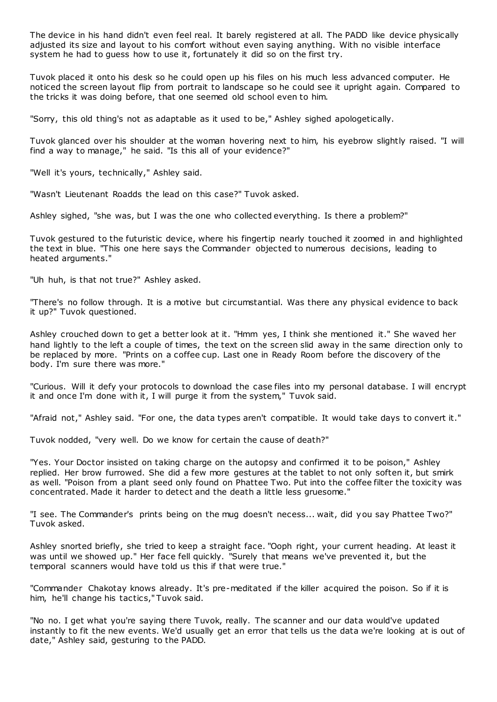The device in his hand didn't even feel real. It barely registered at all. The PADD like device physically adjusted its size and layout to his comfort without even saying anything. With no visible interface system he had to guess how to use it, fortunately it did so on the first try.

Tuvok placed it onto his desk so he could open up his files on his much less advanced computer. He noticed the screen layout flip from portrait to landscape so he could see it upright again. Compared to the tricks it was doing before, that one seemed old school even to him.

"Sorry, this old thing's not as adaptable as it used to be," Ashley sighed apologetically.

Tuvok glanced over his shoulder at the woman hovering next to him, his eyebrow slightly raised. "I will find a way to manage," he said. "Is this all of your evidence?"

"Well it's yours, technically," Ashley said.

"Wasn't Lieutenant Roadds the lead on this case?" Tuvok asked.

Ashley sighed, "she was, but I was the one who collected everything. Is there a problem?"

Tuvok gestured to the futuristic device, where his fingertip nearly touched it zoomed in and highlighted the text in blue. "This one here says the Commander objected to numerous decisions, leading to heated arguments."

"Uh huh, is that not true?" Ashley asked.

"There's no follow through. It is a motive but circumstantial. Was there any physical evidence to back it up?" Tuvok questioned.

Ashley crouched down to get a better look at it. "Hmm yes, I think she mentioned it." She waved her hand lightly to the left a couple of times, the text on the screen slid away in the same direction only to be replaced by more. "Prints on a coffee cup. Last one in Ready Room before the discovery of the body. I'm sure there was more."

"Curious. Will it defy your protocols to download the case files into my personal database. I will encrypt it and once I'm done with it, I will purge it from the system," Tuvok said.

"Afraid not," Ashley said. "For one, the data types aren't compatible. It would take days to convert it."

Tuvok nodded, "very well. Do we know for certain the cause of death?"

"Yes. Your Doctor insisted on taking charge on the autopsy and confirmed it to be poison," Ashley replied. Her brow furrowed. She did a few more gestures at the tablet to not only soften it, but smirk as well. "Poison from a plant seed only found on Phattee Two. Put into the coffee filter the toxicity was concentrated. Made it harder to detect and the death a little less gruesome."

"I see. The Commander's prints being on the mug doesn't necess... wait, did you say Phattee Two?" Tuvok asked.

Ashley snorted briefly, she tried to keep a straight face. "Ooph right, your current heading. At least it was until we showed up." Her face fell quickly. "Surely that means we've prevented it, but the temporal scanners would have told us this if that were true."

"Commander Chakotay knows already. It's pre-meditated if the killer acquired the poison. So if it is him, he'll change his tactics," Tuvok said.

"No no. I get what you're saying there Tuvok, really. The scanner and our data would've updated instantly to fit the new events. We'd usually get an error that tells us the data we're looking at is out of date," Ashley said, gesturing to the PADD.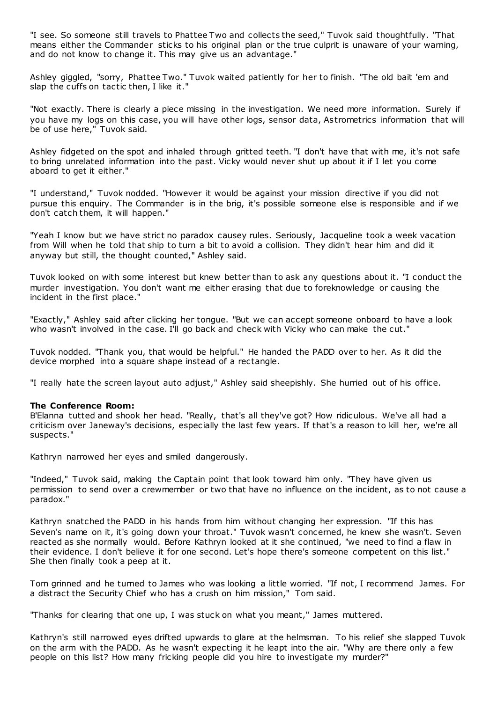"I see. So someone still travels to Phattee Two and collects the seed," Tuvok said thoughtfully. "That means either the Commander sticks to his original plan or the true culprit is unaware of your warning, and do not know to change it. This may give us an advantage."

Ashley giggled, "sorry, Phattee Two." Tuvok waited patiently for her to finish. "The old bait 'em and slap the cuffs on tactic then, I like it."

"Not exactly. There is clearly a piece missing in the investigation. We need more information. Surely if you have my logs on this case, you will have other logs, sensor data, Astrometrics information that will be of use here," Tuvok said.

Ashley fidgeted on the spot and inhaled through gritted teeth. "I don't have that with me, it's not safe to bring unrelated information into the past. Vicky would never shut up about it if I let you come aboard to get it either."

"I understand," Tuvok nodded. "However it would be against your mission directive if you did not pursue this enquiry. The Commander is in the brig, it's possible someone else is responsible and if we don't catch them, it will happen."

"Yeah I know but we have strict no paradox causey rules. Seriously, Jacqueline took a week vacation from Will when he told that ship to turn a bit to avoid a collision. They didn't hear him and did it anyway but still, the thought counted," Ashley said.

Tuvok looked on with some interest but knew better than to ask any questions about it. "I conduct the murder investigation. You don't want me either erasing that due to foreknowledge or causing the incident in the first place."

"Exactly," Ashley said after clicking her tongue. "But we can accept someone onboard to have a look who wasn't involved in the case. I'll go back and check with Vicky who can make the cut."

Tuvok nodded. "Thank you, that would be helpful." He handed the PADD over to her. As it did the device morphed into a square shape instead of a rectangle.

"I really hate the screen layout auto adjust," Ashley said sheepishly. She hurried out of his office.

# **The Conference Room:**

B'Elanna tutted and shook her head. "Really, that's all they've got? How ridiculous. We've all had a criticism over Janeway's decisions, especially the last few years. If that's a reason to kill her, we're all suspects."

Kathryn narrowed her eyes and smiled dangerously.

"Indeed," Tuvok said, making the Captain point that look toward him only. "They have given us permission to send over a crewmember or two that have no influence on the incident, as to not cause a paradox."

Kathryn snatched the PADD in his hands from him without changing her expression. "If this has Seven's name on it, it's going down your throat." Tuvok wasn't concerned, he knew she wasn't. Seven reacted as she normally would. Before Kathryn looked at it she continued, "we need to find a flaw in their evidence. I don't believe it for one second. Let's hope there's someone competent on this list." She then finally took a peep at it.

Tom grinned and he turned to James who was looking a little worried. "If not, I recommend James. For a distract the Security Chief who has a crush on him mission," Tom said.

"Thanks for clearing that one up, I was stuck on what you meant," James muttered.

Kathryn's still narrowed eyes drifted upwards to glare at the helmsman. To his relief she slapped Tuvok on the arm with the PADD. As he wasn't expecting it he leapt into the air. "Why are there only a few people on this list? How many fricking people did you hire to investigate my murder?"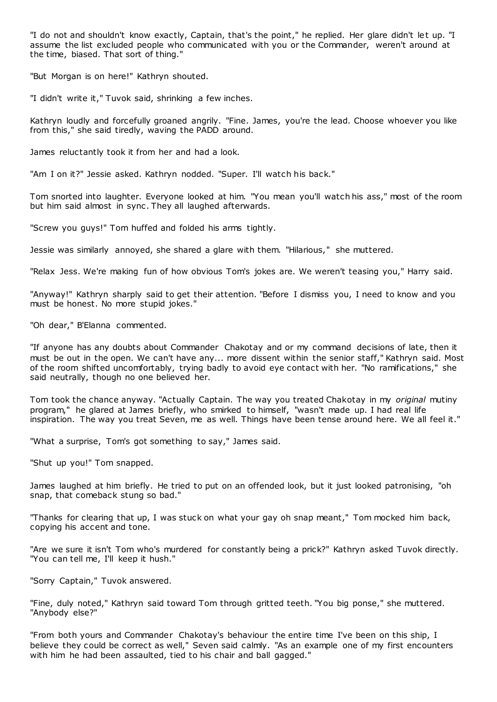"I do not and shouldn't know exactly, Captain, that's the point," he replied. Her glare didn't let up. "I assume the list excluded people who communicated with you or the Commander, weren't around at the time, biased. That sort of thing."

"But Morgan is on here!" Kathryn shouted.

"I didn't write it," Tuvok said, shrinking a few inches.

Kathryn loudly and forcefully groaned angrily. "Fine. James, you're the lead. Choose whoever you like from this," she said tiredly, waving the PADD around.

James reluctantly took it from her and had a look.

"Am I on it?" Jessie asked. Kathryn nodded. "Super. I'll watch his back."

Tom snorted into laughter. Everyone looked at him. "You mean you'll watch his ass," most of the room but him said almost in sync . They all laughed afterwards.

"Screw you guys!" Tom huffed and folded his arms tightly.

Jessie was similarly annoyed, she shared a glare with them. "Hilarious," she muttered.

"Relax Jess. We're making fun of how obvious Tom's jokes are. We weren't teasing you," Harry said.

"Anyway!" Kathryn sharply said to get their attention. "Before I dismiss you, I need to know and you must be honest. No more stupid jokes."

"Oh dear," B'Elanna commented.

"If anyone has any doubts about Commander Chakotay and or my command decisions of late, then it must be out in the open. We can't have any... more dissent within the senior staff," Kathryn said. Most of the room shifted uncomfortably, trying badly to avoid eye contact with her. "No ramifications," she said neutrally, though no one believed her.

Tom took the chance anyway. "Actually Captain. The way you treated Chakotay in my *original* mutiny program," he glared at James briefly, who smirked to himself, "wasn't made up. I had real life inspiration. The way you treat Seven, me as well. Things have been tense around here. We all feel it."

"What a surprise, Tom's got something to say," James said.

"Shut up you!" Tom snapped.

James laughed at him briefly. He tried to put on an offended look, but it just looked patronising, "oh snap, that comeback stung so bad."

"Thanks for clearing that up, I was stuck on what your gay oh snap meant," Tom mocked him back, copying his accent and tone.

"Are we sure it isn't Tom who's murdered for constantly being a prick?" Kathryn asked Tuvok directly. "You can tell me, I'll keep it hush."

"Sorry Captain," Tuvok answered.

"Fine, duly noted," Kathryn said toward Tom through gritted teeth. "You big ponse," she muttered. "Anybody else?"

"From both yours and Commander Chakotay's behaviour the entire time I've been on this ship, I believe they could be correct as well," Seven said calmly. "As an example one of my first encounters with him he had been assaulted, tied to his chair and ball gagged."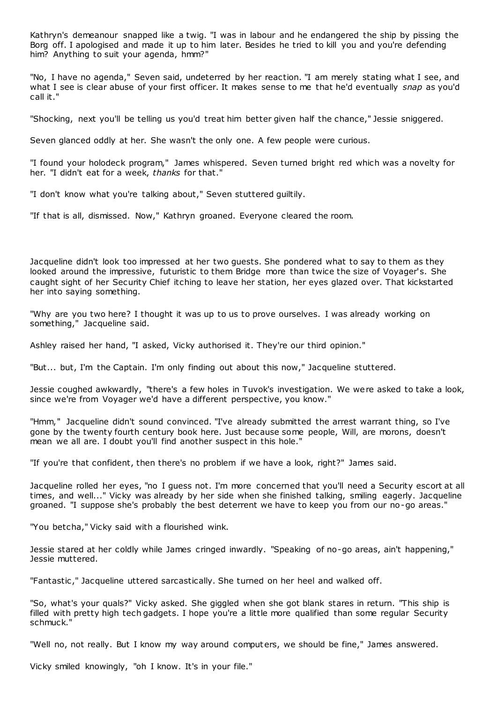Kathryn's demeanour snapped like a twig. "I was in labour and he endangered the ship by pissing the Borg off. I apologised and made it up to him later. Besides he tried to kill you and you're defending him? Anything to suit your agenda, hmm?"

"No, I have no agenda," Seven said, undeterred by her reaction. "I am merely stating what I see, and what I see is clear abuse of your first officer. It makes sense to me that he'd eventually *snap* as you'd call it."

"Shocking, next you'll be telling us you'd treat him better given half the chance," Jessie sniggered.

Seven glanced oddly at her. She wasn't the only one. A few people were curious.

"I found your holodeck program," James whispered. Seven turned bright red which was a novelty for her. "I didn't eat for a week, *thanks* for that."

"I don't know what you're talking about," Seven stuttered guiltily.

"If that is all, dismissed. Now," Kathryn groaned. Everyone cleared the room.

Jacqueline didn't look too impressed at her two guests. She pondered what to say to them as they looked around the impressive, futuristic to them Bridge more than twice the size of Voyager's. She caught sight of her Security Chief itching to leave her station, her eyes glazed over. That kickstarted her into saying something.

"Why are you two here? I thought it was up to us to prove ourselves. I was already working on something," Jacqueline said.

Ashley raised her hand, "I asked, Vicky authorised it. They're our third opinion."

"But... but, I'm the Captain. I'm only finding out about this now," Jacqueline stuttered.

Jessie coughed awkwardly, "there's a few holes in Tuvok's investigation. We were asked to take a look, since we're from Voyager we'd have a different perspective, you know."

"Hmm," Jacqueline didn't sound convinced. "I've already submitted the arrest warrant thing, so I've gone by the twenty fourth century book here. Just because some people, Will, are morons, doesn't mean we all are. I doubt you'll find another suspect in this hole."

"If you're that confident, then there's no problem if we have a look, right?" James said.

Jacqueline rolled her eyes, "no I guess not. I'm more concerned that you'll need a Security escort at all times, and well..." Vicky was already by her side when she finished talking, smiling eagerly. Jacqueline groaned. "I suppose she's probably the best deterrent we have to keep you from our no-go areas."

"You betcha," Vicky said with a flourished wink.

Jessie stared at her coldly while James cringed inwardly. "Speaking of no-go areas, ain't happening," Jessie muttered.

"Fantastic ," Jacqueline uttered sarcastically. She turned on her heel and walked off.

"So, what's your quals?" Vicky asked. She giggled when she got blank stares in return. "This ship is filled with pretty high tech gadgets. I hope you're a little more qualified than some regular Security schmuck."

"Well no, not really. But I know my way around computers, we should be fine," James answered.

Vicky smiled knowingly, "oh I know. It's in your file."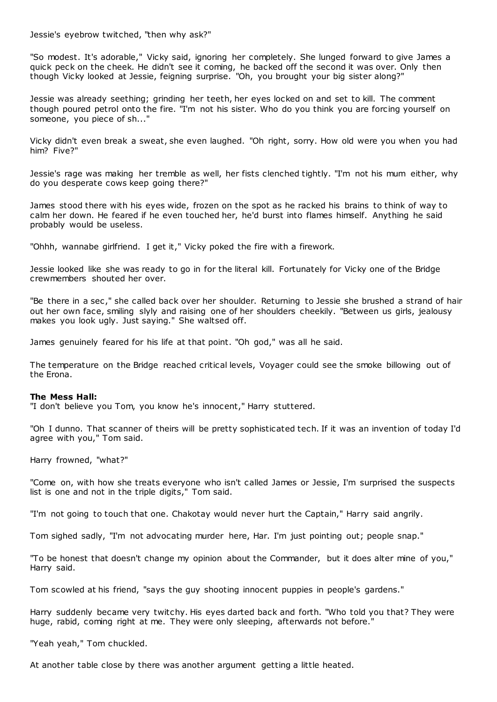Jessie's eyebrow twitched, "then why ask?"

"So modest. It's adorable," Vicky said, ignoring her completely. She lunged forward to give James a quick peck on the cheek. He didn't see it coming, he backed off the second it was over. Only then though Vicky looked at Jessie, feigning surprise. "Oh, you brought your big sister along?"

Jessie was already seething; grinding her teeth, her eyes locked on and set to kill. The comment though poured petrol onto the fire. "I'm not his sister. Who do you think you are forcing yourself on someone, you piece of sh..."

Vicky didn't even break a sweat, she even laughed. "Oh right, sorry. How old were you when you had him? Five?"

Jessie's rage was making her tremble as well, her fists clenched tightly. "I'm not his mum either, why do you desperate cows keep going there?"

James stood there with his eyes wide, frozen on the spot as he racked his brains to think of way to calm her down. He feared if he even touched her, he'd burst into flames himself. Anything he said probably would be useless.

"Ohhh, wannabe girlfriend. I get it," Vicky poked the fire with a firework.

Jessie looked like she was ready to go in for the literal kill. Fortunately for Vicky one of the Bridge crewmembers shouted her over.

"Be there in a sec ," she called back over her shoulder. Returning to Jessie she brushed a strand of hair out her own face, smiling slyly and raising one of her shoulders cheekily. "Between us girls, jealousy makes you look ugly. Just saying." She waltsed off.

James genuinely feared for his life at that point. "Oh god," was all he said.

The temperature on the Bridge reached critical levels, Voyager could see the smoke billowing out of the Erona.

### **The Mess Hall:**

"I don't believe you Tom, you know he's innocent," Harry stuttered.

"Oh I dunno. That scanner of theirs will be pretty sophisticated tech. If it was an invention of today I'd agree with you," Tom said.

Harry frowned, "what?"

"Come on, with how she treats everyone who isn't called James or Jessie, I'm surprised the suspects list is one and not in the triple digits," Tom said.

"I'm not going to touch that one. Chakotay would never hurt the Captain," Harry said angrily.

Tom sighed sadly, "I'm not advocating murder here, Har. I'm just pointing out; people snap."

"To be honest that doesn't change my opinion about the Commander, but it does alter mine of you," Harry said.

Tom scowled at his friend, "says the guy shooting innocent puppies in people's gardens."

Harry suddenly became very twitchy. His eyes darted back and forth. "Who told you that? They were huge, rabid, coming right at me. They were only sleeping, afterwards not before.

"Yeah yeah," Tom chuckled.

At another table close by there was another argument getting a little heated.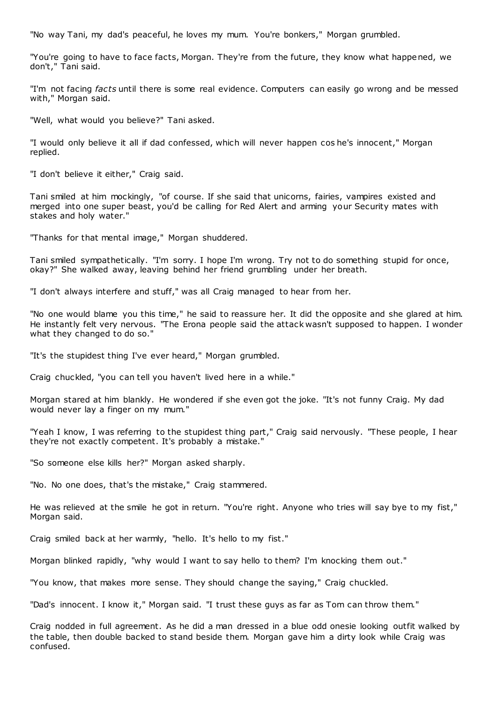"No way Tani, my dad's peaceful, he loves my mum. You're bonkers," Morgan grumbled.

"You're going to have to face facts, Morgan. They're from the future, they know what happened, we don't," Tani said.

"I'm not facing *facts* until there is some real evidence. Computers can easily go wrong and be messed with," Morgan said.

"Well, what would you believe?" Tani asked.

"I would only believe it all if dad confessed, which will never happen cos he's innocent," Morgan replied.

"I don't believe it either," Craig said.

Tani smiled at him mockingly, "of course. If she said that unicorns, fairies, vampires existed and merged into one super beast, you'd be calling for Red Alert and arming your Security mates with stakes and holy water."

"Thanks for that mental image," Morgan shuddered.

Tani smiled sympathetically. "I'm sorry. I hope I'm wrong. Try not to do something stupid for once, okay?" She walked away, leaving behind her friend grumbling under her breath.

"I don't always interfere and stuff," was all Craig managed to hear from her.

"No one would blame you this time," he said to reassure her. It did the opposite and she glared at him. He instantly felt very nervous. "The Erona people said the attack wasn't supposed to happen. I wonder what they changed to do so."

"It's the stupidest thing I've ever heard," Morgan grumbled.

Craig chuckled, "you can tell you haven't lived here in a while."

Morgan stared at him blankly. He wondered if she even got the joke. "It's not funny Craig. My dad would never lay a finger on my mum."

"Yeah I know, I was referring to the stupidest thing part," Craig said nervously. "These people, I hear they're not exactly competent. It's probably a mistake."

"So someone else kills her?" Morgan asked sharply.

"No. No one does, that's the mistake," Craig stammered.

He was relieved at the smile he got in return. "You're right. Anyone who tries will say bye to my fist," Morgan said.

Craig smiled back at her warmly, "hello. It's hello to my fist."

Morgan blinked rapidly, "why would I want to say hello to them? I'm knocking them out."

"You know, that makes more sense. They should change the saying," Craig chuckled.

"Dad's innocent. I know it," Morgan said. "I trust these guys as far as Tom can throw them."

Craig nodded in full agreement. As he did a man dressed in a blue odd onesie looking outfit walked by the table, then double backed to stand beside them. Morgan gave him a dirty look while Craig was confused.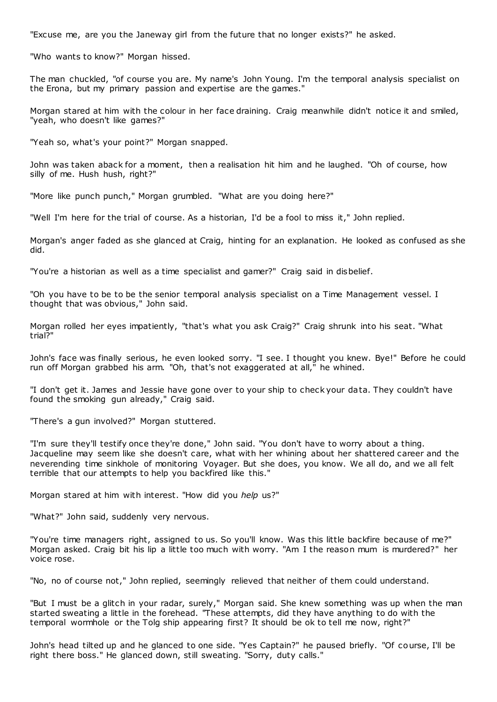"Excuse me, are you the Janeway girl from the future that no longer exists?" he asked.

"Who wants to know?" Morgan hissed.

The man chuckled, "of course you are. My name's John Young. I'm the temporal analysis specialist on the Erona, but my primary passion and expertise are the games."

Morgan stared at him with the colour in her face draining. Craig meanwhile didn't notice it and smiled, "yeah, who doesn't like games?"

"Yeah so, what's your point?" Morgan snapped.

John was taken aback for a moment, then a realisation hit him and he laughed. "Oh of course, how silly of me. Hush hush, right?"

"More like punch punch," Morgan grumbled. "What are you doing here?"

"Well I'm here for the trial of course. As a historian, I'd be a fool to miss it," John replied.

Morgan's anger faded as she glanced at Craig, hinting for an explanation. He looked as confused as she did.

"You're a historian as well as a time specialist and gamer?" Craig said in disbelief.

"Oh you have to be to be the senior temporal analysis specialist on a Time Management vessel. I thought that was obvious," John said.

Morgan rolled her eyes impatiently, "that's what you ask Craig?" Craig shrunk into his seat. "What trial?"

John's face was finally serious, he even looked sorry. "I see. I thought you knew. Bye!" Before he could run off Morgan grabbed his arm. "Oh, that's not exaggerated at all," he whined.

"I don't get it. James and Jessie have gone over to your ship to check your data. They couldn't have found the smoking gun already," Craig said.

"There's a gun involved?" Morgan stuttered.

"I'm sure they'll testify once they're done," John said. "You don't have to worry about a thing. Jacqueline may seem like she doesn't care, what with her whining about her shattered career and the neverending time sinkhole of monitoring Voyager. But she does, you know. We all do, and we all felt terrible that our attempts to help you backfired like this."

Morgan stared at him with interest. "How did you *help* us?"

"What?" John said, suddenly very nervous.

"You're time managers right, assigned to us. So you'll know. Was this little backfire because of me?" Morgan asked. Craig bit his lip a little too much with worry. "Am I the reason mum is murdered?" her voice rose.

"No, no of course not," John replied, seemingly relieved that neither of them could understand.

"But I must be a glitch in your radar, surely," Morgan said. She knew something was up when the man started sweating a little in the forehead. "These attempts, did they have anything to do with the temporal wormhole or the Tolg ship appearing first? It should be ok to tell me now, right?"

John's head tilted up and he glanced to one side. "Yes Captain?" he paused briefly. "Of course, I'll be right there boss." He glanced down, still sweating. "Sorry, duty calls."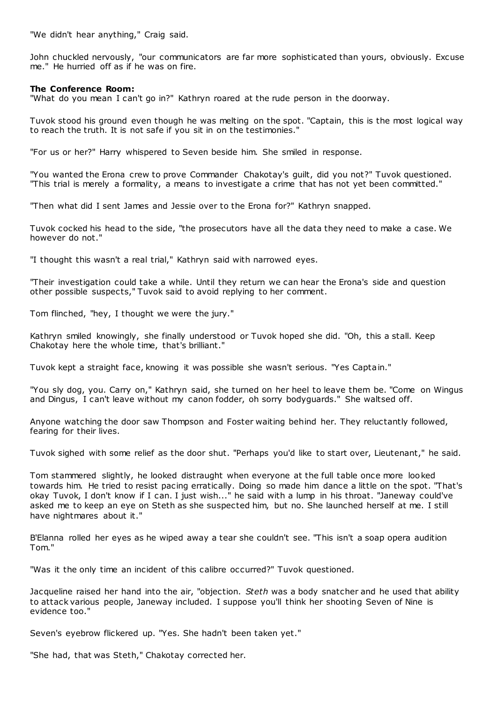"We didn't hear anything," Craig said.

John chuckled nervously, "our communicators are far more sophisticated than yours, obviously. Excuse me." He hurried off as if he was on fire.

# **The Conference Room:**

"What do you mean I can't go in?" Kathryn roared at the rude person in the doorway.

Tuvok stood his ground even though he was melting on the spot. "Captain, this is the most logical way to reach the truth. It is not safe if you sit in on the testimonies."

"For us or her?" Harry whispered to Seven beside him. She smiled in response.

"You wanted the Erona crew to prove Commander Chakotay's guilt, did you not?" Tuvok questioned. "This trial is merely a formality, a means to investigate a crime that has not yet been committed."

"Then what did I sent James and Jessie over to the Erona for?" Kathryn snapped.

Tuvok cocked his head to the side, "the prosecutors have all the data they need to make a case. We however do not."

"I thought this wasn't a real trial," Kathryn said with narrowed eyes.

"Their investigation could take a while. Until they return we can hear the Erona's side and question other possible suspects," Tuvok said to avoid replying to her comment.

Tom flinched, "hey, I thought we were the jury."

Kathryn smiled knowingly, she finally understood or Tuvok hoped she did. "Oh, this a stall. Keep Chakotay here the whole time, that's brilliant."

Tuvok kept a straight face, knowing it was possible she wasn't serious. "Yes Captain."

"You sly dog, you. Carry on," Kathryn said, she turned on her heel to leave them be. "Come on Wingus and Dingus, I can't leave without my canon fodder, oh sorry bodyguards." She waltsed off.

Anyone watching the door saw Thompson and Foster waiting behind her. They reluctantly followed, fearing for their lives.

Tuvok sighed with some relief as the door shut. "Perhaps you'd like to start over, Lieutenant," he said.

Tom stammered slightly, he looked distraught when everyone at the full table once more looked towards him. He tried to resist pacing erratically. Doing so made him dance a little on the spot. "That's okay Tuvok, I don't know if I can. I just wish..." he said with a lump in his throat. "Janeway could've asked me to keep an eye on Steth as she suspected him, but no. She launched herself at me. I still have nightmares about it."

B'Elanna rolled her eyes as he wiped away a tear she couldn't see. "This isn't a soap opera audition Tom."

"Was it the only time an incident of this calibre occurred?" Tuvok questioned.

Jacqueline raised her hand into the air, "objection. *Steth* was a body snatcher and he used that ability to attack various people, Janeway included. I suppose you'll think her shooting Seven of Nine is evidence too."

Seven's eyebrow flickered up. "Yes. She hadn't been taken yet."

"She had, that was Steth," Chakotay corrected her.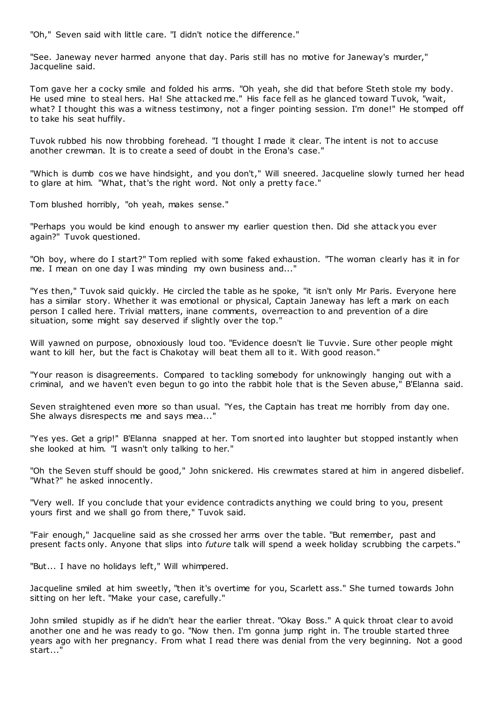"Oh," Seven said with little care. "I didn't notice the difference."

"See. Janeway never harmed anyone that day. Paris still has no motive for Janeway's murder," Jacqueline said.

Tom gave her a cocky smile and folded his arms. "Oh yeah, she did that before Steth stole my body. He used mine to steal hers. Ha! She attacked me." His face fell as he glanced toward Tuvok, "wait, what? I thought this was a witness testimony, not a finger pointing session. I'm done!" He stomped off to take his seat huffily.

Tuvok rubbed his now throbbing forehead. "I thought I made it clear. The intent is not to accuse another crewman. It is to create a seed of doubt in the Erona's case."

"Which is dumb cos we have hindsight, and you don't," Will sneered. Jacqueline slowly turned her head to glare at him. "What, that's the right word. Not only a pretty face."

Tom blushed horribly, "oh yeah, makes sense."

"Perhaps you would be kind enough to answer my earlier question then. Did she attack you ever again?" Tuvok questioned.

"Oh boy, where do I start?" Tom replied with some faked exhaustion. "The woman clearly has it in for me. I mean on one day I was minding my own business and..."

"Yes then," Tuvok said quickly. He circled the table as he spoke, "it isn't only Mr Paris. Everyone here has a similar story. Whether it was emotional or physical, Captain Janeway has left a mark on each person I called here. Trivial matters, inane comments, overreaction to and prevention of a dire situation, some might say deserved if slightly over the top."

Will yawned on purpose, obnoxiously loud too. "Evidence doesn't lie Tuvvie. Sure other people might want to kill her, but the fact is Chakotay will beat them all to it. With good reason."

"Your reason is disagreements. Compared to tackling somebody for unknowingly hanging out with a criminal, and we haven't even begun to go into the rabbit hole that is the Seven abuse," B'Elanna said.

Seven straightened even more so than usual. "Yes, the Captain has treat me horribly from day one. She always disrespects me and says mea..."

"Yes yes. Get a grip!" B'Elanna snapped at her. Tom snorted into laughter but stopped instantly when she looked at him. "I wasn't only talking to her."

"Oh the Seven stuff should be good," John snickered. His crewmates stared at him in angered disbelief. "What?" he asked innocently.

"Very well. If you conclude that your evidence contradicts anything we could bring to you, present yours first and we shall go from there," Tuvok said.

"Fair enough," Jacqueline said as she crossed her arms over the table. "But remember, past and present facts only. Anyone that slips into *future* talk will spend a week holiday scrubbing the carpets."

"But... I have no holidays left," Will whimpered.

Jacqueline smiled at him sweetly, "then it's overtime for you, Scarlett ass." She turned towards John sitting on her left. "Make your case, carefully."

John smiled stupidly as if he didn't hear the earlier threat. "Okay Boss." A quick throat clear to avoid another one and he was ready to go. "Now then. I'm gonna jump right in. The trouble started three years ago with her pregnancy. From what I read there was denial from the very beginning. Not a good start..."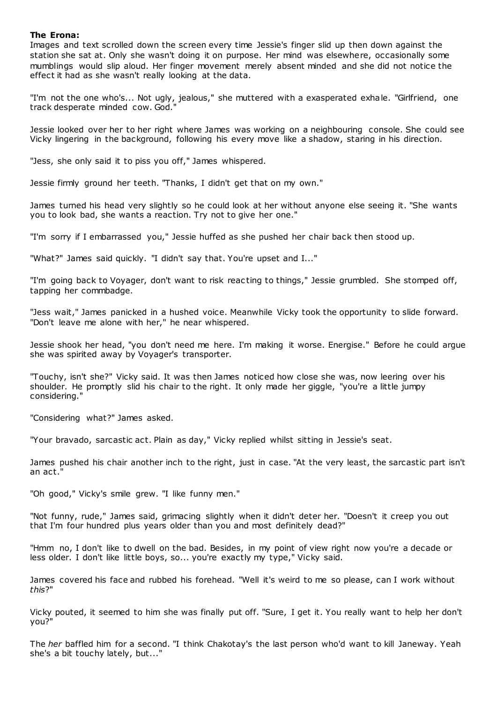# **The Erona:**

Images and text scrolled down the screen every time Jessie's finger slid up then down against the station she sat at. Only she wasn't doing it on purpose. Her mind was elsewhere, occasionally some mumblings would slip aloud. Her finger movement merely absent minded and she did not notice the effect it had as she wasn't really looking at the data.

"I'm not the one who's... Not ugly, jealous," she muttered with a exasperated exhale. "Girlfriend, one track desperate minded cow. God."

Jessie looked over her to her right where James was working on a neighbouring console. She could see Vicky lingering in the background, following his every move like a shadow, staring in his direction.

"Jess, she only said it to piss you off," James whispered.

Jessie firmly ground her teeth. "Thanks, I didn't get that on my own."

James turned his head very slightly so he could look at her without anyone else seeing it. "She wants you to look bad, she wants a reaction. Try not to give her one."

"I'm sorry if I embarrassed you," Jessie huffed as she pushed her chair back then stood up.

"What?" James said quickly. "I didn't say that. You're upset and I..."

"I'm going back to Voyager, don't want to risk reac ting to things," Jessie grumbled. She stomped off, tapping her commbadge.

"Jess wait," James panicked in a hushed voice. Meanwhile Vicky took the opportunity to slide forward. "Don't leave me alone with her," he near whispered.

Jessie shook her head, "you don't need me here. I'm making it worse. Energise." Before he could argue she was spirited away by Voyager's transporter.

"Touchy, isn't she?" Vicky said. It was then James noticed how close she was, now leering over his shoulder. He promptly slid his chair to the right. It only made her giggle, "you're a little jumpy considering."

"Considering what?" James asked.

"Your bravado, sarcastic act. Plain as day," Vicky replied whilst sitting in Jessie's seat.

James pushed his chair another inch to the right, just in case. "At the very least, the sarcastic part isn't an act."

"Oh good," Vicky's smile grew. "I like funny men."

"Not funny, rude," James said, grimacing slightly when it didn't deter her. "Doesn't it creep you out that I'm four hundred plus years older than you and most definitely dead?"

"Hmm no, I don't like to dwell on the bad. Besides, in my point of view right now you're a decade or less older. I don't like little boys, so... you're exactly my type," Vicky said.

James covered his face and rubbed his forehead. "Well it's weird to me so please, can I work without *this*?"

Vicky pouted, it seemed to him she was finally put off. "Sure, I get it. You really want to help her don't you?"

The *her* baffled him for a second. "I think Chakotay's the last person who'd want to kill Janeway. Yeah she's a bit touchy lately, but..."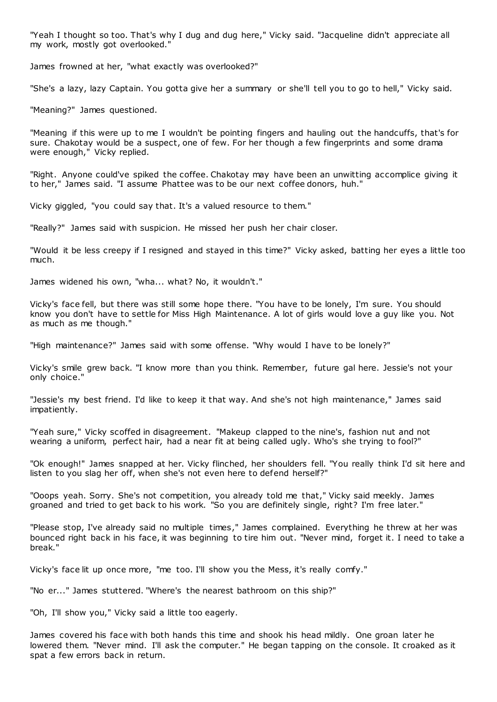"Yeah I thought so too. That's why I dug and dug here," Vicky said. "Jacqueline didn't appreciate all my work, mostly got overlooked."

James frowned at her, "what exactly was overlooked?"

"She's a lazy, lazy Captain. You gotta give her a summary or she'll tell you to go to hell," Vicky said.

"Meaning?" James questioned.

"Meaning if this were up to me I wouldn't be pointing fingers and hauling out the handcuffs, that's for sure. Chakotay would be a suspect, one of few. For her though a few fingerprints and some drama were enough," Vicky replied.

"Right. Anyone could've spiked the coffee. Chakotay may have been an unwitting accomplice giving it to her," James said. "I assume Phattee was to be our next coffee donors, huh."

Vicky giggled, "you could say that. It's a valued resource to them."

"Really?" James said with suspicion. He missed her push her chair closer.

"Would it be less creepy if I resigned and stayed in this time?" Vicky asked, batting her eyes a little too much.

James widened his own, "wha... what? No, it wouldn't."

Vicky's face fell, but there was still some hope there. "You have to be lonely, I'm sure. You should know you don't have to settle for Miss High Maintenance. A lot of girls would love a guy like you. Not as much as me though."

"High maintenance?" James said with some offense. "Why would I have to be lonely?"

Vicky's smile grew back. "I know more than you think. Remember, future gal here. Jessie's not your only choice."

"Jessie's my best friend. I'd like to keep it that way. And she's not high maintenance," James said impatiently.

"Yeah sure," Vicky scoffed in disagreement. "Makeup clapped to the nine's, fashion nut and not wearing a uniform, perfect hair, had a near fit at being called ugly. Who's she trying to fool?"

"Ok enough!" James snapped at her. Vicky flinched, her shoulders fell. "You really think I'd sit here and listen to you slag her off, when she's not even here to defend herself?"

"Ooops yeah. Sorry. She's not competition, you already told me that," Vicky said meekly. James groaned and tried to get back to his work. "So you are definitely single, right? I'm free later."

"Please stop, I've already said no multiple times," James complained. Everything he threw at her was bounced right back in his face, it was beginning to tire him out. "Never mind, forget it. I need to take a break."

Vicky's face lit up once more, "me too. I'll show you the Mess, it's really comfy."

"No er..." James stuttered. "Where's the nearest bathroom on this ship?"

"Oh, I'll show you," Vicky said a little too eagerly.

James covered his face with both hands this time and shook his head mildly. One groan later he lowered them. "Never mind. I'll ask the computer." He began tapping on the console. It croaked as it spat a few errors back in return.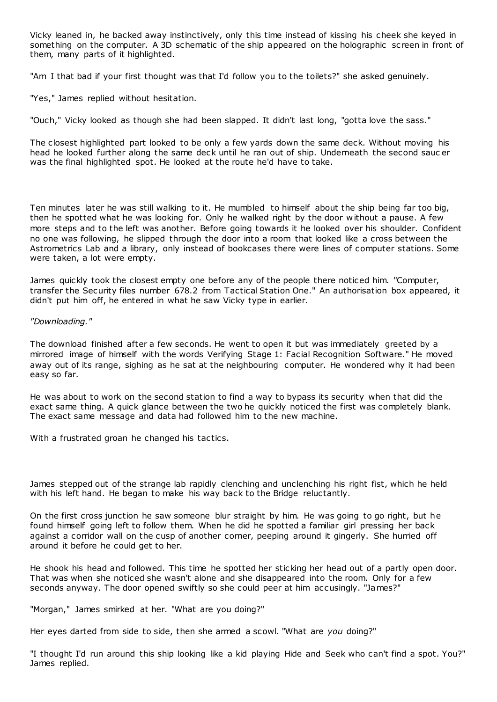Vicky leaned in, he backed away instinctively, only this time instead of kissing his cheek she keyed in something on the computer. A 3D schematic of the ship appeared on the holographic screen in front of them, many parts of it highlighted.

"Am I that bad if your first thought was that I'd follow you to the toilets?" she asked genuinely.

"Yes," James replied without hesitation.

"Ouch," Vicky looked as though she had been slapped. It didn't last long, "gotta love the sass."

The closest highlighted part looked to be only a few yards down the same deck. Without moving his head he looked further along the same deck until he ran out of ship. Underneath the second sauc er was the final highlighted spot. He looked at the route he'd have to take.

Ten minutes later he was still walking to it. He mumbled to himself about the ship being far too big, then he spotted what he was looking for. Only he walked right by the door without a pause. A few more steps and to the left was another. Before going towards it he looked over his shoulder. Confident no one was following, he slipped through the door into a room that looked like a cross between the Astrometrics Lab and a library, only instead of bookcases there were lines of computer stations. Some were taken, a lot were empty.

James quickly took the closest empty one before any of the people there noticed him. "Computer, transfer the Security files number 678.2 from Tactical Station One." An authorisation box appeared, it didn't put him off, he entered in what he saw Vicky type in earlier.

# *"Downloading."*

The download finished after a few seconds. He went to open it but was immediately greeted by a mirrored image of himself with the words Verifying Stage 1: Facial Recognition Software." He moved away out of its range, sighing as he sat at the neighbouring computer. He wondered why it had been easy so far.

He was about to work on the second station to find a way to bypass its security when that did the exact same thing. A quick glance between the two he quickly noticed the first was completely blank. The exact same message and data had followed him to the new machine.

With a frustrated groan he changed his tactics.

James stepped out of the strange lab rapidly clenching and unclenching his right fist, which he held with his left hand. He began to make his way back to the Bridge reluctantly.

On the first cross junction he saw someone blur straight by him. He was going to go right, but he found himself going left to follow them. When he did he spotted a familiar girl pressing her back against a corridor wall on the cusp of another corner, peeping around it gingerly. She hurried off around it before he could get to her.

He shook his head and followed. This time he spotted her sticking her head out of a partly open door. That was when she noticed she wasn't alone and she disappeared into the room. Only for a few seconds anyway. The door opened swiftly so she could peer at him accusingly. "James?"

"Morgan," James smirked at her. "What are you doing?"

Her eyes darted from side to side, then she armed a scowl. "What are *you* doing?"

"I thought I'd run around this ship looking like a kid playing Hide and Seek who can't find a spot. You?" James replied.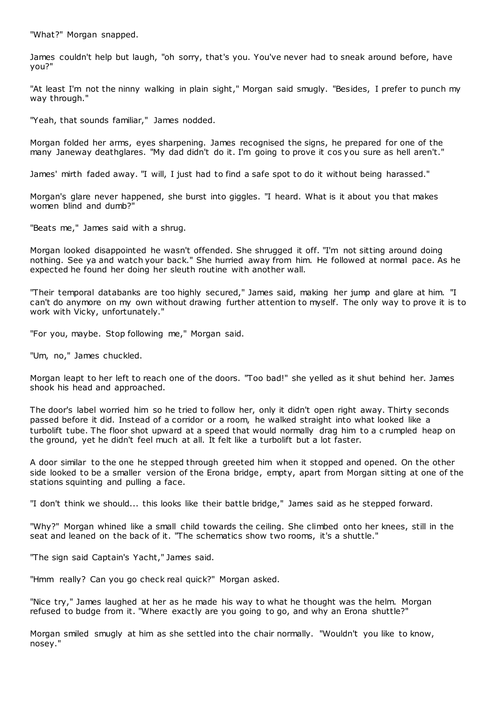"What?" Morgan snapped.

James couldn't help but laugh, "oh sorry, that's you. You've never had to sneak around before, have you?"

"At least I'm not the ninny walking in plain sight," Morgan said smugly. "Besides, I prefer to punch my way through."

"Yeah, that sounds familiar," James nodded.

Morgan folded her arms, eyes sharpening. James recognised the signs, he prepared for one of the many Janeway deathglares. "My dad didn't do it. I'm going to prove it cos you sure as hell aren't."

James' mirth faded away. "I will, I just had to find a safe spot to do it without being harassed."

Morgan's glare never happened, she burst into giggles. "I heard. What is it about you that makes women blind and dumb?"

"Beats me," James said with a shrug.

Morgan looked disappointed he wasn't offended. She shrugged it off. "I'm not sitting around doing nothing. See ya and watch your back." She hurried away from him. He followed at normal pace. As he expected he found her doing her sleuth routine with another wall.

"Their temporal databanks are too highly secured," James said, making her jump and glare at him. "I can't do anymore on my own without drawing further attention to myself. The only way to prove it is to work with Vicky, unfortunately."

"For you, maybe. Stop following me," Morgan said.

"Um, no," James chuckled.

Morgan leapt to her left to reach one of the doors. "Too bad!" she yelled as it shut behind her. James shook his head and approached.

The door's label worried him so he tried to follow her, only it didn't open right away. Thirty seconds passed before it did. Instead of a corridor or a room, he walked straight into what looked like a turbolift tube. The floor shot upward at a speed that would normally drag him to a c rumpled heap on the ground, yet he didn't feel much at all. It felt like a turbolift but a lot faster.

A door similar to the one he stepped through greeted him when it stopped and opened. On the other side looked to be a smaller version of the Erona bridge, empty, apart from Morgan sitting at one of the stations squinting and pulling a face.

"I don't think we should... this looks like their battle bridge," James said as he stepped forward.

"Why?" Morgan whined like a small child towards the ceiling. She climbed onto her knees, still in the seat and leaned on the back of it. "The schematics show two rooms, it's a shuttle."

"The sign said Captain's Yacht," James said.

"Hmm really? Can you go check real quick?" Morgan asked.

"Nice try," James laughed at her as he made his way to what he thought was the helm. Morgan refused to budge from it. "Where exactly are you going to go, and why an Erona shuttle?"

Morgan smiled smugly at him as she settled into the chair normally. "Wouldn't you like to know, nosey."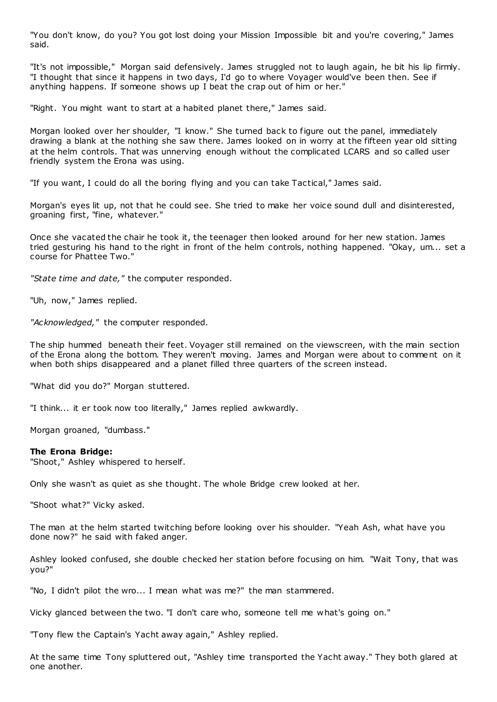"You don't know, do you? You got lost doing your Mission Impossible bit and you're covering," James said.

"It's not impossible," Morgan said defensively. James struggled not to laugh again, he bit his lip firmly. "I thought that since it happens in two days, I'd go to where Voyager would've been then. See if anything happens. If someone shows up I beat the crap out of him or her."

"Right. You might want to start at a habited planet there," James said.

Morgan looked over her shoulder, "I know." She turned back to figure out the panel, immediately drawing a blank at the nothing she saw there. James looked on in worry at the fifteen year old sitting at the helm controls. That was unnerving enough without the complicated LCARS and so called user friendly system the Erona was using.

"If you want, I could do all the boring flying and you can take Tactical," James said.

Morgan's eyes lit up, not that he could see. She tried to make her voice sound dull and disinterested, groaning first, "fine, whatever."

Once she vacated the chair he took it, the teenager then looked around for her new station. James tried gesturing his hand to the right in front of the helm controls, nothing happened. "Okay, um... set a course for Phattee Two."

*"State time and date,"* the computer responded.

"Uh, now," James replied.

*"Acknowledged,"* the computer responded.

The ship hummed beneath their feet. Voyager still remained on the viewscreen, with the main section of the Erona along the bottom. They weren't moving. James and Morgan were about to comment on it when both ships disappeared and a planet filled three quarters of the screen instead.

"What did you do?" Morgan stuttered.

"I think... it er took now too literally," James replied awkwardly.

Morgan groaned, "dumbass."

## **The Erona Bridge:**

"Shoot," Ashley whispered to herself.

Only she wasn't as quiet as she thought. The whole Bridge crew looked at her.

"Shoot what?" Vicky asked.

The man at the helm started twitching before looking over his shoulder. "Yeah Ash, what have you done now?" he said with faked anger.

Ashley looked confused, she double checked her station before focusing on him. "Wait Tony, that was you?"

"No, I didn't pilot the wro... I mean what was me?" the man stammered.

Vicky glanced between the two. "I don't care who, someone tell me what's going on."

"Tony flew the Captain's Yacht away again," Ashley replied.

At the same time Tony spluttered out, "Ashley time transported the Yacht away." They both glared at one another.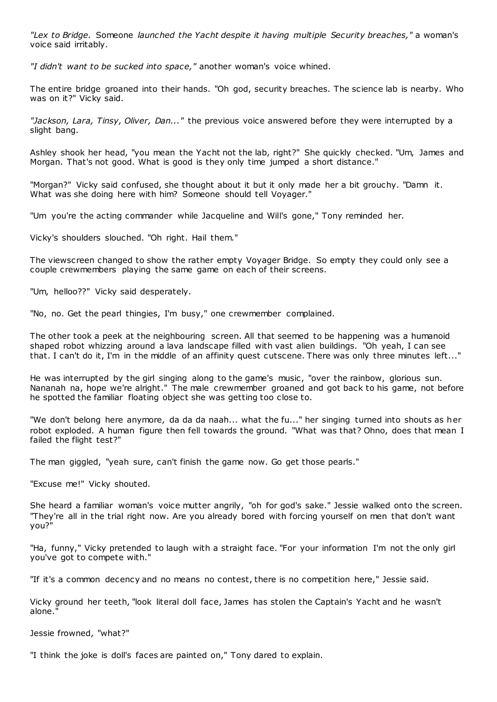*"Lex to Bridge.* Someone *launched the Yacht despite it having multiple Security breaches,"* a woman's voice said irritably.

*"I didn't want to be sucked into space,"* another woman's voice whined.

The entire bridge groaned into their hands. "Oh god, security breaches. The science lab is nearby. Who was on it?" Vicky said.

*"Jackson, Lara, Tinsy, Oliver, Dan..."* the previous voice answered before they were interrupted by a slight bang.

Ashley shook her head, "you mean the Yacht not the lab, right?" She quickly checked. "Um, James and Morgan. That's not good. What is good is they only time jumped a short distance."

"Morgan?" Vicky said confused, she thought about it but it only made her a bit grouchy. "Damn it. What was she doing here with him? Someone should tell Voyager."

"Um you're the acting commander while Jacqueline and Will's gone," Tony reminded her.

Vicky's shoulders slouched. "Oh right. Hail them."

The viewscreen changed to show the rather empty Voyager Bridge. So empty they could only see a couple crewmembers playing the same game on each of their screens.

"Um, helloo??" Vicky said desperately.

"No, no. Get the pearl thingies, I'm busy," one crewmember complained.

The other took a peek at the neighbouring screen. All that seemed to be happening was a humanoid shaped robot whizzing around a lava landscape filled with vast alien buildings. "Oh yeah, I can see that. I can't do it, I'm in the middle of an affinity quest cutscene. There was only three minutes left..."

He was interrupted by the girl singing along to the game's music, "over the rainbow, glorious sun. Nananah na, hope we're alright." The male crewmember groaned and got back to his game, not before he spotted the familiar floating object she was getting too close to.

"We don't belong here anymore, da da da naah... what the fu..." her singing turned into shouts as her robot exploded. A human figure then fell towards the ground. "What was that? Ohno, does that mean I failed the flight test?"

The man giggled, "yeah sure, can't finish the game now. Go get those pearls."

"Excuse me!" Vicky shouted.

She heard a familiar woman's voice mutter angrily, "oh for god's sake." Jessie walked onto the screen. "They're all in the trial right now. Are you already bored with forcing yourself on men that don't want you?"

"Ha, funny," Vicky pretended to laugh with a straight face. "For your information I'm not the only girl you've got to compete with."

"If it's a common decency and no means no contest, there is no competition here," Jessie said.

Vicky ground her teeth, "look literal doll face, James has stolen the Captain's Yacht and he wasn't alone."

Jessie frowned, "what?"

"I think the joke is doll's faces are painted on," Tony dared to explain.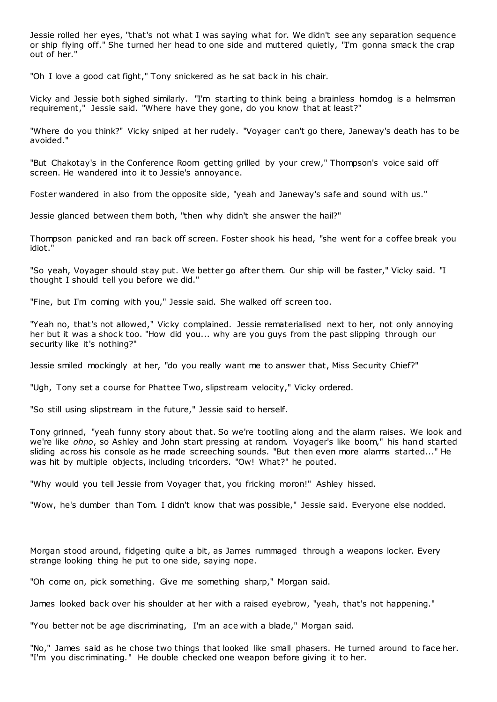Jessie rolled her eyes, "that's not what I was saying what for. We didn't see any separation sequence or ship flying off." She turned her head to one side and muttered quietly, "I'm gonna smack the crap out of her."

"Oh I love a good cat fight," Tony snickered as he sat back in his chair.

Vicky and Jessie both sighed similarly. "I'm starting to think being a brainless horndog is a helmsman requirement," Jessie said. "Where have they gone, do you know that at least?"

"Where do you think?" Vicky sniped at her rudely. "Voyager can't go there, Janeway's death has to be avoided."

"But Chakotay's in the Conference Room getting grilled by your crew," Thompson's voice said off screen. He wandered into it to Jessie's annoyance.

Foster wandered in also from the opposite side, "yeah and Janeway's safe and sound with us."

Jessie glanced between them both, "then why didn't she answer the hail?"

Thompson panicked and ran back off screen. Foster shook his head, "she went for a coffee break you idiot."

"So yeah, Voyager should stay put. We better go after them. Our ship will be faster," Vicky said. "I thought I should tell you before we did."

"Fine, but I'm coming with you," Jessie said. She walked off screen too.

"Yeah no, that's not allowed," Vicky complained. Jessie rematerialised next to her, not only annoying her but it was a shock too. "How did you... why are you guys from the past slipping through our security like it's nothing?"

Jessie smiled mockingly at her, "do you really want me to answer that, Miss Security Chief?"

"Ugh, Tony set a course for Phattee Two, slipstream velocity," Vicky ordered.

"So still using slipstream in the future," Jessie said to herself.

Tony grinned, "yeah funny story about that. So we're tootling along and the alarm raises. We look and we're like *ohno*, so Ashley and John start pressing at random. Voyager's like boom," his hand started sliding across his console as he made screeching sounds. "But then even more alarms started..." He was hit by multiple objects, including tricorders. "Ow! What?" he pouted.

"Why would you tell Jessie from Voyager that, you fricking moron!" Ashley hissed.

"Wow, he's dumber than Tom. I didn't know that was possible," Jessie said. Everyone else nodded.

Morgan stood around, fidgeting quite a bit, as James rummaged through a weapons locker. Every strange looking thing he put to one side, saying nope.

"Oh come on, pick something. Give me something sharp," Morgan said.

James looked back over his shoulder at her with a raised eyebrow, "yeah, that's not happening."

"You better not be age discriminating, I'm an ace with a blade," Morgan said.

"No," James said as he chose two things that looked like small phasers. He turned around to face her. "I'm you discriminating." He double checked one weapon before giving it to her.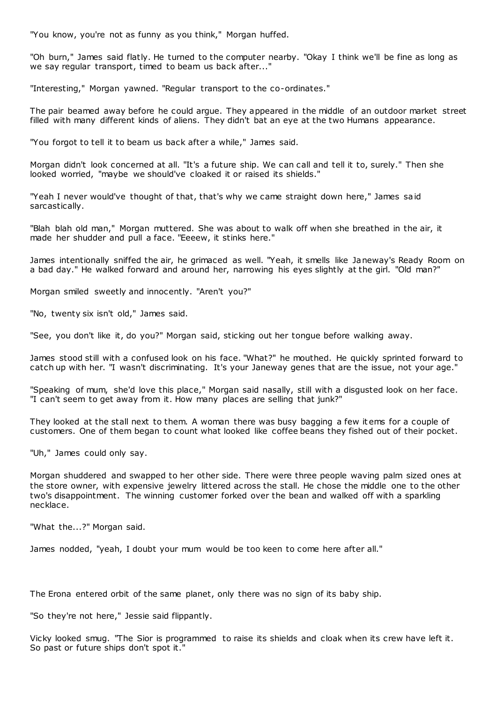"You know, you're not as funny as you think," Morgan huffed.

"Oh burn," James said flatly. He turned to the computer nearby. "Okay I think we'll be fine as long as we say regular transport, timed to beam us back after..."

"Interesting," Morgan yawned. "Regular transport to the co-ordinates."

The pair beamed away before he could argue. They appeared in the middle of an outdoor market street filled with many different kinds of aliens. They didn't bat an eye at the two Humans appearance.

"You forgot to tell it to beam us back after a while," James said.

Morgan didn't look concerned at all. "It's a future ship. We can call and tell it to, surely." Then she looked worried, "maybe we should've cloaked it or raised its shields."

"Yeah I never would've thought of that, that's why we came straight down here," James said sarcastically.

"Blah blah old man," Morgan muttered. She was about to walk off when she breathed in the air, it made her shudder and pull a face. "Eeeew, it stinks here."

James intentionally sniffed the air, he grimaced as well. "Yeah, it smells like Janeway's Ready Room on a bad day." He walked forward and around her, narrowing his eyes slightly at the girl. "Old man?"

Morgan smiled sweetly and innocently. "Aren't you?"

"No, twenty six isn't old," James said.

"See, you don't like it, do you?" Morgan said, sticking out her tongue before walking away.

James stood still with a confused look on his face. "What?" he mouthed. He quickly sprinted forward to catch up with her. "I wasn't discriminating. It's your Janeway genes that are the issue, not your age."

"Speaking of mum, she'd love this place," Morgan said nasally, still with a disgusted look on her face. "I can't seem to get away from it. How many places are selling that junk?"

They looked at the stall next to them. A woman there was busy bagging a few it ems for a couple of customers. One of them began to count what looked like coffee beans they fished out of their pocket.

"Uh," James could only say.

Morgan shuddered and swapped to her other side. There were three people waving palm sized ones at the store owner, with expensive jewelry littered across the stall. He chose the middle one to the other two's disappointment. The winning customer forked over the bean and walked off with a sparkling necklace.

"What the...?" Morgan said.

James nodded, "yeah, I doubt your mum would be too keen to come here after all."

The Erona entered orbit of the same planet, only there was no sign of its baby ship.

"So they're not here," Jessie said flippantly.

Vicky looked smug. "The Sior is programmed to raise its shields and cloak when its crew have left it. So past or future ships don't spot it."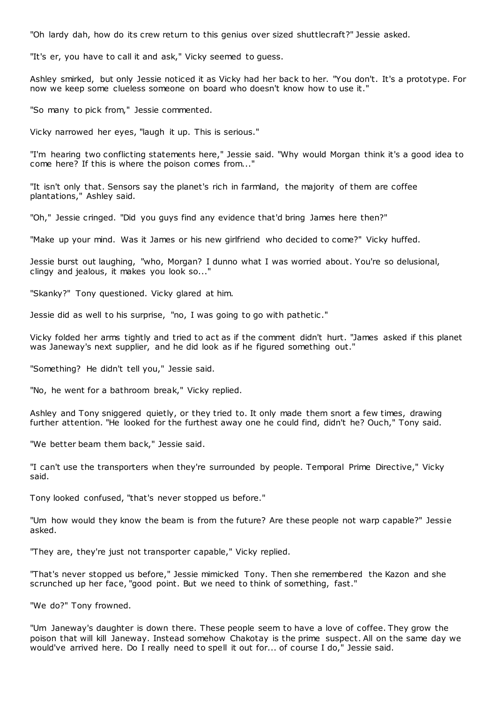"Oh lardy dah, how do its crew return to this genius over sized shuttlecraft?" Jessie asked.

"It's er, you have to call it and ask," Vicky seemed to guess.

Ashley smirked, but only Jessie noticed it as Vicky had her back to her. "You don't. It's a prototype. For now we keep some clueless someone on board who doesn't know how to use it."

"So many to pick from," Jessie commented.

Vicky narrowed her eyes, "laugh it up. This is serious."

"I'm hearing two conflicting statements here," Jessie said. "Why would Morgan think it's a good idea to come here? If this is where the poison comes from...'

"It isn't only that. Sensors say the planet's rich in farmland, the majority of them are coffee plantations," Ashley said.

"Oh," Jessie cringed. "Did you guys find any evidence that'd bring James here then?"

"Make up your mind. Was it James or his new girlfriend who decided to come?" Vicky huffed.

Jessie burst out laughing, "who, Morgan? I dunno what I was worried about. You're so delusional, clingy and jealous, it makes you look so..."

"Skanky?" Tony questioned. Vicky glared at him.

Jessie did as well to his surprise, "no, I was going to go with pathetic ."

Vicky folded her arms tightly and tried to act as if the comment didn't hurt. "James asked if this planet was Janeway's next supplier, and he did look as if he figured something out."

"Something? He didn't tell you," Jessie said.

"No, he went for a bathroom break," Vicky replied.

Ashley and Tony sniggered quietly, or they tried to. It only made them snort a few times, drawing further attention. "He looked for the furthest away one he could find, didn't he? Ouch," Tony said.

"We better beam them back," Jessie said.

"I can't use the transporters when they're surrounded by people. Temporal Prime Directive," Vicky said.

Tony looked confused, "that's never stopped us before."

"Um how would they know the beam is from the future? Are these people not warp capable?" Jessie asked.

"They are, they're just not transporter capable," Vicky replied.

"That's never stopped us before," Jessie mimicked Tony. Then she remembered the Kazon and she scrunched up her face, "good point. But we need to think of something, fast."

"We do?" Tony frowned.

"Um Janeway's daughter is down there. These people seem to have a love of coffee. They grow the poison that will kill Janeway. Instead somehow Chakotay is the prime suspect. All on the same day we would've arrived here. Do I really need to spell it out for... of course I do," Jessie said.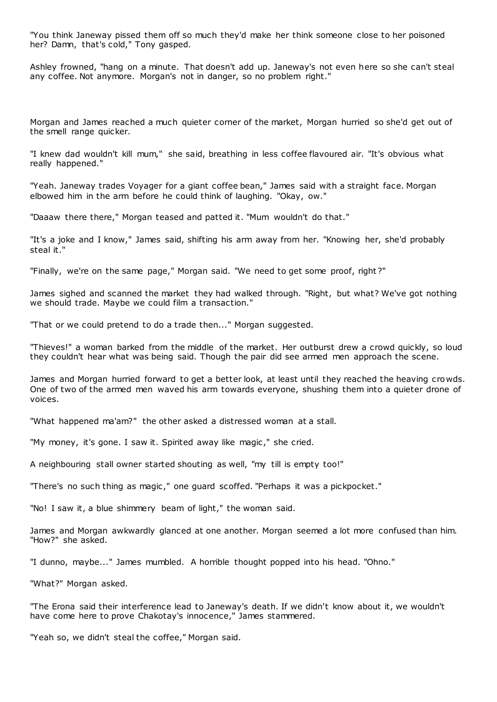"You think Janeway pissed them off so much they'd make her think someone close to her poisoned her? Damn, that's cold," Tony gasped.

Ashley frowned, "hang on a minute. That doesn't add up. Janeway's not even here so she can't steal any coffee. Not anymore. Morgan's not in danger, so no problem right."

Morgan and James reached a much quieter corner of the market, Morgan hurried so she'd get out of the smell range quicker.

"I knew dad wouldn't kill mum," she said, breathing in less coffee flavoured air. "It's obvious what really happened."

"Yeah. Janeway trades Voyager for a giant coffee bean," James said with a straight face. Morgan elbowed him in the arm before he could think of laughing. "Okay, ow."

"Daaaw there there," Morgan teased and patted it. "Mum wouldn't do that."

"It's a joke and I know," James said, shifting his arm away from her. "Knowing her, she'd probably steal it."

"Finally, we're on the same page," Morgan said. "We need to get some proof, right ?"

James sighed and scanned the market they had walked through. "Right, but what? We've got nothing we should trade. Maybe we could film a transaction."

"That or we could pretend to do a trade then..." Morgan suggested.

"Thieves!" a woman barked from the middle of the market. Her outburst drew a crowd quickly, so loud they couldn't hear what was being said. Though the pair did see armed men approach the scene.

James and Morgan hurried forward to get a better look, at least until they reached the heaving crowds. One of two of the armed men waved his arm towards everyone, shushing them into a quieter drone of voices.

"What happened ma'am?" the other asked a distressed woman at a stall.

"My money, it's gone. I saw it. Spirited away like magic ," she cried.

A neighbouring stall owner started shouting as well, "my till is empty too!"

"There's no such thing as magic ," one guard scoffed. "Perhaps it was a pickpocket."

"No! I saw it, a blue shimmery beam of light," the woman said.

James and Morgan awkwardly glanced at one another. Morgan seemed a lot more confused than him. "How?" she asked.

"I dunno, maybe..." James mumbled. A horrible thought popped into his head. "Ohno."

"What?" Morgan asked.

"The Erona said their interference lead to Janeway's death. If we didn't know about it, we wouldn't have come here to prove Chakotay's innocence," James stammered.

"Yeah so, we didn't steal the coffee," Morgan said.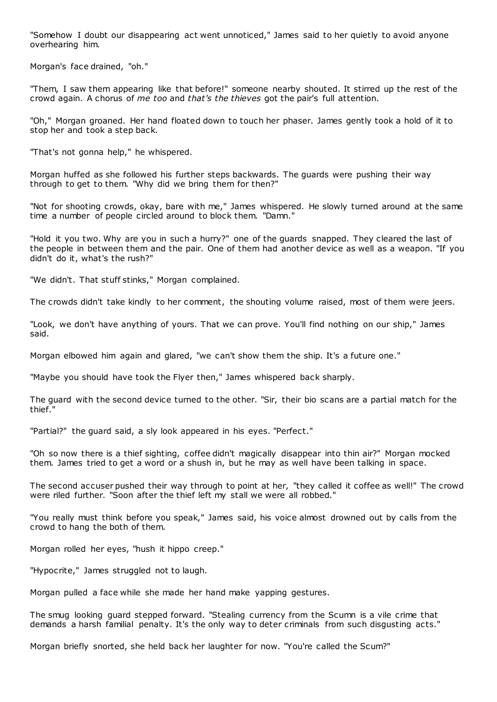"Somehow I doubt our disappearing act went unnoticed," James said to her quietly to avoid anyone overhearing him.

Morgan's face drained, "oh."

"Them, I saw them appearing like that before!" someone nearby shouted. It stirred up the rest of the crowd again. A chorus of *me too* and *that's the thieves* got the pair's full attention.

"Oh," Morgan groaned. Her hand floated down to touch her phaser. James gently took a hold of it to stop her and took a step back.

"That's not gonna help," he whispered.

Morgan huffed as she followed his further steps backwards. The guards were pushing their way through to get to them. "Why did we bring them for then?"

"Not for shooting crowds, okay, bare with me," James whispered. He slowly turned around at the same time a number of people circled around to block them. "Damn."

"Hold it you two. Why are you in such a hurry?" one of the guards snapped. They cleared the last of the people in between them and the pair. One of them had another device as well as a weapon. "If you didn't do it, what's the rush?"

"We didn't. That stuff stinks," Morgan complained.

The crowds didn't take kindly to her comment, the shouting volume raised, most of them were jeers.

"Look, we don't have anything of yours. That we can prove. You'll find nothing on our ship," James said.

Morgan elbowed him again and glared, "we can't show them the ship. It's a future one."

"Maybe you should have took the Flyer then," James whispered back sharply.

The guard with the second device turned to the other. "Sir, their bio scans are a partial match for the thief."

"Partial?" the guard said, a sly look appeared in his eyes. "Perfect."

"Oh so now there is a thief sighting, coffee didn't magically disappear into thin air?" Morgan mocked them. James tried to get a word or a shush in, but he may as well have been talking in space.

The second accuser pushed their way through to point at her, "they called it coffee as well!" The crowd were riled further. "Soon after the thief left my stall we were all robbed."

"You really must think before you speak," James said, his voice almost drowned out by calls from the crowd to hang the both of them.

Morgan rolled her eyes, "hush it hippo creep."

"Hypocrite," James struggled not to laugh.

Morgan pulled a face while she made her hand make yapping gestures.

The smug looking guard stepped forward. "Stealing currency from the Scumn is a vile crime that demands a harsh familial penalty. It's the only way to deter criminals from such disgusting acts."

Morgan briefly snorted, she held back her laughter for now. "You're called the Scum?"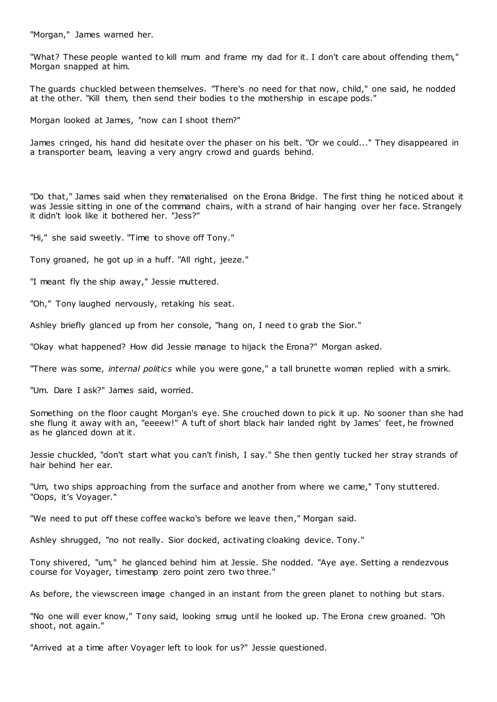"Morgan," James warned her.

"What? These people wanted to kill mum and frame my dad for it. I don't care about offending them," Morgan snapped at him.

The guards chuckled between themselves. "There's no need for that now, child," one said, he nodded at the other. "Kill them, then send their bodies to the mothership in escape pods."

Morgan looked at James, "now can I shoot them?"

James cringed, his hand did hesitate over the phaser on his belt. "Or we could..." They disappeared in a transporter beam, leaving a very angry crowd and guards behind.

"Do that," James said when they rematerialised on the Erona Bridge. The first thing he noticed about it was Jessie sitting in one of the command chairs, with a strand of hair hanging over her face. Strangely it didn't look like it bothered her. "Jess?"

"Hi," she said sweetly. "Time to shove off Tony."

Tony groaned, he got up in a huff. "All right, jeeze."

"I meant fly the ship away," Jessie muttered.

"Oh," Tony laughed nervously, retaking his seat.

Ashley briefly glanced up from her console, "hang on, I need to grab the Sior."

"Okay what happened? How did Jessie manage to hijack the Erona?" Morgan asked.

"There was some, *internal politics* while you were gone," a tall brunette woman replied with a smirk.

"Um. Dare I ask?" James said, worried.

Something on the floor caught Morgan's eye. She crouched down to pick it up. No sooner than she had she flung it away with an, "eeeew!" A tuft of short black hair landed right by James' feet, he frowned as he glanced down at it.

Jessie chuckled, "don't start what you can't finish, I say." She then gently tucked her stray strands of hair behind her ear.

"Um, two ships approaching from the surface and another from where we came," Tony stuttered. "Oops, it's Voyager."

"We need to put off these coffee wacko's before we leave then," Morgan said.

Ashley shrugged, "no not really. Sior docked, activating cloaking device. Tony."

Tony shivered, "um," he glanced behind him at Jessie. She nodded. "Aye aye. Setting a rendezvous course for Voyager, timestamp zero point zero two three."

As before, the viewscreen image changed in an instant from the green planet to nothing but stars.

"No one will ever know," Tony said, looking smug until he looked up. The Erona crew groaned. "Oh shoot, not again."

"Arrived at a time after Voyager left to look for us?" Jessie questioned.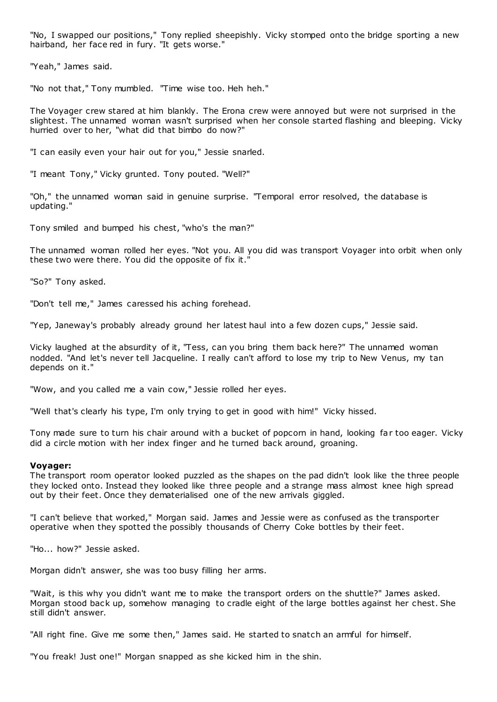"No, I swapped our positions," Tony replied sheepishly. Vicky stomped onto the bridge sporting a new hairband, her face red in fury. "It gets worse."

"Yeah," James said.

"No not that," Tony mumbled. "Time wise too. Heh heh."

The Voyager crew stared at him blankly. The Erona crew were annoyed but were not surprised in the slightest. The unnamed woman wasn't surprised when her console started flashing and bleeping. Vicky hurried over to her, "what did that bimbo do now?"

"I can easily even your hair out for you," Jessie snarled.

"I meant Tony," Vicky grunted. Tony pouted. "Well?"

"Oh," the unnamed woman said in genuine surprise. "Temporal error resolved, the database is updating."

Tony smiled and bumped his chest, "who's the man?"

The unnamed woman rolled her eyes. "Not you. All you did was transport Voyager into orbit when only these two were there. You did the opposite of fix it."

"So?" Tony asked.

"Don't tell me," James caressed his aching forehead.

"Yep, Janeway's probably already ground her latest haul into a few dozen cups," Jessie said.

Vicky laughed at the absurdity of it, "Tess, can you bring them back here?" The unnamed woman nodded. "And let's never tell Jacqueline. I really can't afford to lose my trip to New Venus, my tan depends on it."

"Wow, and you called me a vain cow," Jessie rolled her eyes.

"Well that's clearly his type, I'm only trying to get in good with him!" Vicky hissed.

Tony made sure to turn his chair around with a bucket of popcorn in hand, looking far too eager. Vicky did a circle motion with her index finger and he turned back around, groaning.

### **Voyager:**

The transport room operator looked puzzled as the shapes on the pad didn't look like the three people they locked onto. Instead they looked like three people and a strange mass almost knee high spread out by their feet. Once they dematerialised one of the new arrivals giggled.

"I can't believe that worked," Morgan said. James and Jessie were as confused as the transporter operative when they spotted the possibly thousands of Cherry Coke bottles by their feet.

"Ho... how?" Jessie asked.

Morgan didn't answer, she was too busy filling her arms.

"Wait, is this why you didn't want me to make the transport orders on the shuttle?" James asked. Morgan stood back up, somehow managing to cradle eight of the large bottles against her chest. She still didn't answer.

"All right fine. Give me some then," James said. He started to snatch an armful for himself.

"You freak! Just one!" Morgan snapped as she kicked him in the shin.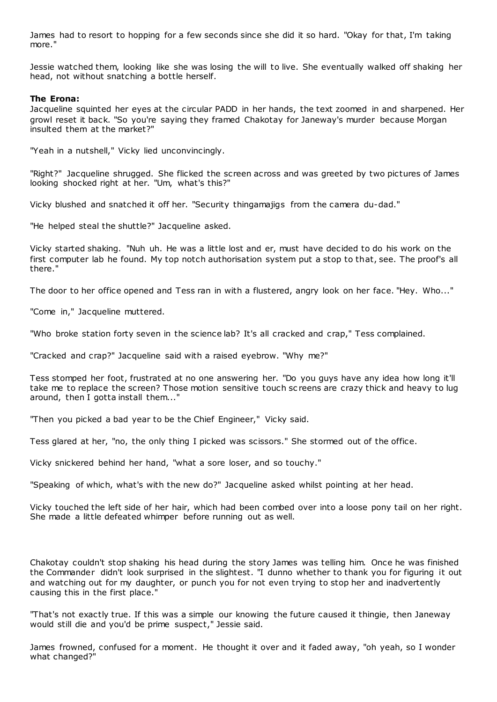James had to resort to hopping for a few seconds since she did it so hard. "Okay for that, I'm taking more."

Jessie watched them, looking like she was losing the will to live. She eventually walked off shaking her head, not without snatching a bottle herself.

# **The Erona:**

Jacqueline squinted her eyes at the circular PADD in her hands, the text zoomed in and sharpened. Her growl reset it back. "So you're saying they framed Chakotay for Janeway's murder because Morgan insulted them at the market?"

"Yeah in a nutshell," Vicky lied unconvincingly.

"Right?" Jacqueline shrugged. She flicked the screen across and was greeted by two pictures of James looking shocked right at her. "Um, what's this?"

Vicky blushed and snatched it off her. "Security thingamajigs from the camera du-dad."

"He helped steal the shuttle?" Jacqueline asked.

Vicky started shaking. "Nuh uh. He was a little lost and er, must have decided to do his work on the first computer lab he found. My top notch authorisation system put a stop to that, see. The proof's all there."

The door to her office opened and Tess ran in with a flustered, angry look on her face. "Hey. Who..."

"Come in," Jacqueline muttered.

"Who broke station forty seven in the science lab? It's all cracked and crap," Tess complained.

"Cracked and crap?" Jacqueline said with a raised eyebrow. "Why me?"

Tess stomped her foot, frustrated at no one answering her. "Do you guys have any idea how long it'll take me to replace the screen? Those motion sensitive touch sc reens are crazy thick and heavy to lug around, then I gotta install them..."

"Then you picked a bad year to be the Chief Engineer," Vicky said.

Tess glared at her, "no, the only thing I picked was scissors." She stormed out of the office.

Vicky snickered behind her hand, "what a sore loser, and so touchy."

"Speaking of which, what's with the new do?" Jacqueline asked whilst pointing at her head.

Vicky touched the left side of her hair, which had been combed over into a loose pony tail on her right. She made a little defeated whimper before running out as well.

Chakotay couldn't stop shaking his head during the story James was telling him. Once he was finished the Commander didn't look surprised in the slightest. "I dunno whether to thank you for figuring it out and watching out for my daughter, or punch you for not even trying to stop her and inadvertently causing this in the first place."

"That's not exactly true. If this was a simple our knowing the future caused it thingie, then Janeway would still die and you'd be prime suspect," Jessie said.

James frowned, confused for a moment. He thought it over and it faded away, "oh yeah, so I wonder what changed?"